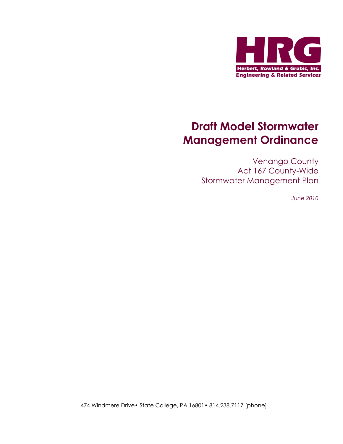

# Draft Model Stormwater Management Ordinance

Venango County Act 167 County-Wide Stormwater Management Plan

June 2010

474 Windmere Drive• State College, PA 16801• 814.238.7117 [phone]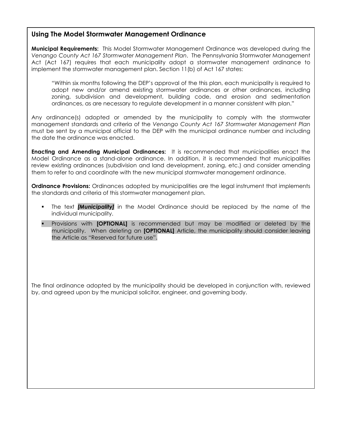### Using The Model Stormwater Management Ordinance

Municipal Requirements: This Model Stormwater Management Ordinance was developed during the Venango County Act 167 Stormwater Management Plan. The Pennsylvania Stormwater Management Act (Act 167) requires that each municipality adopt a stormwater management ordinance to implement the stormwater management plan. Section 11(b) of Act 167 states:

"Within six months following the DEP's approval of the this plan, each municipality is required to adopt new and/or amend existing stormwater ordinances or other ordinances, including zoning, subdivision and development, building code, and erosion and sedimentation ordinances, as are necessary to regulate development in a manner consistent with plan."

Any ordinance(s) adopted or amended by the municipality to comply with the stormwater management standards and criteria of the Venango County Act 167 Stormwater Management Plan must be sent by a municipal official to the DEP with the municipal ordinance number and including the date the ordinance was enacted.

Enacting and Amending Municipal Ordinances: It is recommended that municipalities enact the Model Ordinance as a stand-alone ordinance. In addition, it is recommended that municipalities review existing ordinances (subdivision and land development, zoning, etc.) and consider amending them to refer to and coordinate with the new municipal stormwater management ordinance.

**Ordinance Provisions:** Ordinances adopted by municipalities are the legal instrument that implements the standards and criteria of this stormwater management plan.

- The text *[Municipality]* in the Model Ordinance should be replaced by the name of the individual municipality.
- **Provisions with [OPTIONAL]** is recommended but may be modified or deleted by the municipality. When deleting an **[OPTIONAL]** Article, the municipality should consider leaving the Article as "Reserved for future use".

The final ordinance adopted by the municipality should be developed in conjunction with, reviewed by, and agreed upon by the municipal solicitor, engineer, and governing body.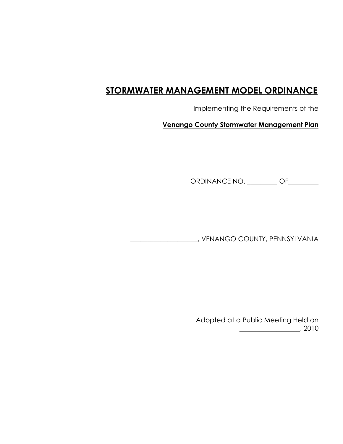## STORMWATER MANAGEMENT MODEL ORDINANCE

Implementing the Requirements of the

Venango County Stormwater Management Plan

ORDINANCE NO. \_\_\_\_\_\_\_\_\_ OF\_\_\_\_\_\_\_\_

\_\_\_\_\_\_\_\_\_\_\_\_\_\_\_\_\_\_\_\_, VENANGO COUNTY, PENNSYLVANIA

 Adopted at a Public Meeting Held on \_\_\_\_\_\_\_\_\_\_\_\_\_\_\_\_\_\_, 2010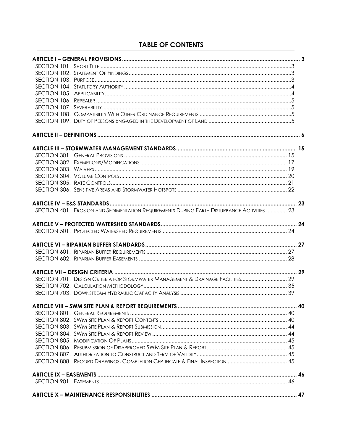### **TABLE OF CONTENTS**

| SECTION 401. EROSION AND SEDIMENTATION REQUIREMENTS DURING EARTH DISTURBANCE ACTIVITIES  23 |  |
|---------------------------------------------------------------------------------------------|--|
|                                                                                             |  |
|                                                                                             |  |
|                                                                                             |  |
|                                                                                             |  |
|                                                                                             |  |
|                                                                                             |  |
| SECTION 701. DESIGN CRITERIA FOR STORMWATER MANAGEMENT & DRAINAGE FACILITIES 29             |  |
|                                                                                             |  |
|                                                                                             |  |
|                                                                                             |  |
|                                                                                             |  |
|                                                                                             |  |
|                                                                                             |  |
|                                                                                             |  |
|                                                                                             |  |
|                                                                                             |  |
|                                                                                             |  |
|                                                                                             |  |
|                                                                                             |  |
|                                                                                             |  |
|                                                                                             |  |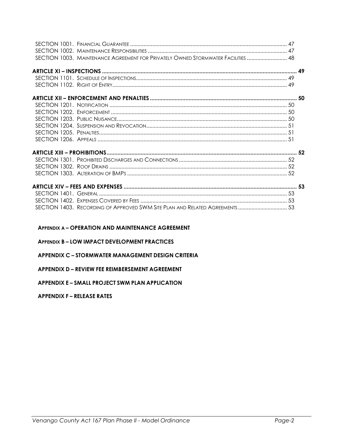| SECTION 1003. MAINTENANCE AGREEMENT FOR PRIVATELY OWNED STORMWATER FACILITIES  48 |  |
|-----------------------------------------------------------------------------------|--|
|                                                                                   |  |
|                                                                                   |  |
|                                                                                   |  |
|                                                                                   |  |
|                                                                                   |  |
|                                                                                   |  |
|                                                                                   |  |
|                                                                                   |  |
|                                                                                   |  |
|                                                                                   |  |
|                                                                                   |  |
|                                                                                   |  |
|                                                                                   |  |
|                                                                                   |  |
|                                                                                   |  |
|                                                                                   |  |
|                                                                                   |  |
| SECTION 1403. RECORDING OF APPROVED SWM SITE PLAN AND RELATED AGREEMENTS  53      |  |

### APPENDIX A – OPERATION AND MAINTENANCE AGREEMENT

### APPENDIX B – LOW IMPACT DEVELOPMENT PRACTICES

### APPENDIX C – STORMWATER MANAGEMENT DESIGN CRITERIA

### APPENDIX D – REVIEW FEE REIMBERSEMENT AGREEMENT

### APPENDIX E – SMALL PROJECT SWM PLAN APPLICATION

### APPENDIX F – RELEASE RATES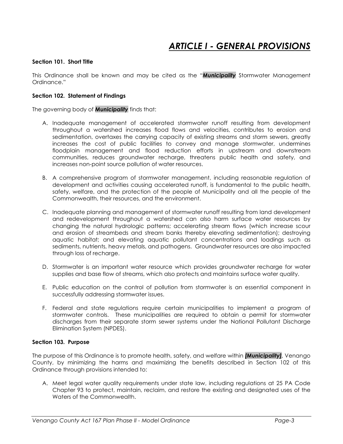### ARTICLE I - GENERAL PROVISIONS

### Section 101. Short Title

This Ordinance shall be known and may be cited as the "**Municipality** Stormwater Management Ordinance."

### Section 102. Statement of Findings

The governing body of **Municipality** finds that:

- A. Inadequate management of accelerated stormwater runoff resulting from development throughout a watershed increases flood flows and velocities, contributes to erosion and sedimentation, overtaxes the carrying capacity of existing streams and storm sewers, greatly increases the cost of public facilities to convey and manage stormwater, undermines floodplain management and flood reduction efforts in upstream and downstream communities, reduces groundwater recharge, threatens public health and safety, and increases non-point source pollution of water resources.
- B. A comprehensive program of stormwater management, including reasonable regulation of development and activities causing accelerated runoff, is fundamental to the public health, safety, welfare, and the protection of the people of Municipality and all the people of the Commonwealth, their resources, and the environment.
- C. Inadequate planning and management of stormwater runoff resulting from land development and redevelopment throughout a watershed can also harm surface water resources by changing the natural hydrologic patterns; accelerating stream flows (which increase scour and erosion of streambeds and stream banks thereby elevating sedimentation); destroying aquatic habitat; and elevating aquatic pollutant concentrations and loadings such as sediments, nutrients, heavy metals, and pathogens. Groundwater resources are also impacted through loss of recharge.
- D. Stormwater is an important water resource which provides groundwater recharge for water supplies and base flow of streams, which also protects and maintains surface water quality.
- E. Public education on the control of pollution from stormwater is an essential component in successfully addressing stormwater issues.
- F. Federal and state regulations require certain municipalities to implement a program of stormwater controls. These municipalities are required to obtain a permit for stormwater discharges from their separate storm sewer systems under the National Pollutant Discharge Elimination System (NPDES).

### Section 103. Purpose

The purpose of this Ordinance is to promote health, safety, and welfare within *[Municipality]*, Venango County, by minimizing the harms and maximizing the benefits described in Section 102 of this Ordinance through provisions intended to:

A. Meet legal water quality requirements under state law, including regulations at 25 PA Code Chapter 93 to protect, maintain, reclaim, and restore the existing and designated uses of the Waters of the Commonwealth.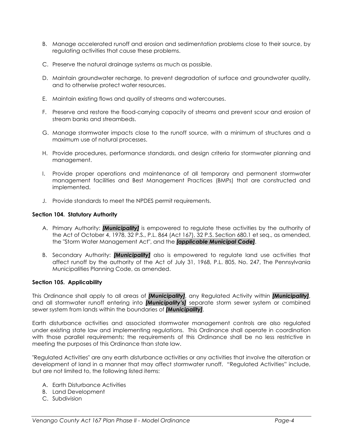- B. Manage accelerated runoff and erosion and sedimentation problems close to their source, by regulating activities that cause these problems.
- C. Preserve the natural drainage systems as much as possible.
- D. Maintain groundwater recharge, to prevent degradation of surface and groundwater quality, and to otherwise protect water resources.
- E. Maintain existing flows and quality of streams and watercourses.
- F. Preserve and restore the flood-carrying capacity of streams and prevent scour and erosion of stream banks and streambeds.
- G. Manage stormwater impacts close to the runoff source, with a minimum of structures and a maximum use of natural processes.
- H. Provide procedures, performance standards, and design criteria for stormwater planning and management.
- I. Provide proper operations and maintenance of all temporary and permanent stormwater management facilities and Best Management Practices (BMPs) that are constructed and implemented.
- J. Provide standards to meet the NPDES permit requirements.

### Section 104. Statutory Authority

- A. Primary Authority: [Municipality] is empowered to regulate these activities by the authority of the Act of October 4, 1978, 32 P.S., P.L. 864 (Act 167), 32 P.S. Section 680.1 et seq., as amended, the "Storm Water Management Act", and the **[applicable Municipal Code]**.
- B. Secondary Authority: [Municipality] also is empowered to regulate land use activities that affect runoff by the authority of the Act of July 31, 1968, P.L. 805, No. 247, The Pennsylvania Municipalities Planning Code, as amended.

### Section 105. Applicability

This Ordinance shall apply to all areas of *[Municipality]*, any Regulated Activity within *[Municipality]*, and all stormwater runoff entering into *[Municipality's]* separate storm sewer system or combined sewer system from lands within the boundaries of *[Municipality]*.

Earth disturbance activities and associated stormwater management controls are also regulated under existing state law and implementing regulations. This Ordinance shall operate in coordination with those parallel requirements; the requirements of this Ordinance shall be no less restrictive in meeting the purposes of this Ordinance than state law.

"Regulated Activities" are any earth disturbance activities or any activities that involve the alteration or development of land in a manner that may affect stormwater runoff. "Regulated Activities" include, but are not limited to, the following listed items:

- A. Earth Disturbance Activities
- B. Land Development
- C. Subdivision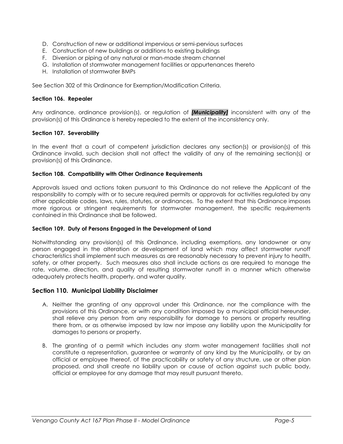- D. Construction of new or additional impervious or semi-pervious surfaces
- E. Construction of new buildings or additions to existing buildings
- F. Diversion or piping of any natural or man-made stream channel
- G. Installation of stormwater management facilities or appurtenances thereto
- H. Installation of stormwater BMPs

See Section 302 of this Ordinance for Exemption/Modification Criteria.

#### Section 106. Repealer

Any ordinance, ordinance provision(s), or regulation of **[Municipality]** inconsistent with any of the provision(s) of this Ordinance is hereby repealed to the extent of the inconsistency only.

#### Section 107. Severability

In the event that a court of competent jurisdiction declares any section(s) or provision(s) of this Ordinance invalid, such decision shall not affect the validity of any of the remaining section(s) or provision(s) of this Ordinance.

#### Section 108. Compatibility with Other Ordinance Requirements

Approvals issued and actions taken pursuant to this Ordinance do not relieve the Applicant of the responsibility to comply with or to secure required permits or approvals for activities regulated by any other applicable codes, laws, rules, statutes, or ordinances. To the extent that this Ordinance imposes more rigorous or stringent requirements for stormwater management, the specific requirements contained in this Ordinance shall be followed.

### Section 109. Duty of Persons Engaged in the Development of Land

Notwithstanding any provision(s) of this Ordinance, including exemptions, any landowner or any person engaged in the alteration or development of land which may affect stormwater runoff characteristics shall implement such measures as are reasonably necessary to prevent injury to health, safety, or other property. Such measures also shall include actions as are required to manage the rate, volume, direction, and quality of resulting stormwater runoff in a manner which otherwise adequately protects health, property, and water quality.

### Section 110. Municipal Liability Disclaimer

- A. Neither the granting of any approval under this Ordinance, nor the compliance with the provisions of this Ordinance, or with any condition imposed by a municipal official hereunder, shall relieve any person from any responsibility for damage to persons or property resulting there from, or as otherwise imposed by law nor impose any liability upon the Municipality for damages to persons or property.
- B. The granting of a permit which includes any storm water management facilities shall not constitute a representation, guarantee or warranty of any kind by the Municipality, or by an official or employee thereof, of the practicability or safety of any structure, use or other plan proposed, and shall create no liability upon or cause of action against such public body, official or employee for any damage that may result pursuant thereto.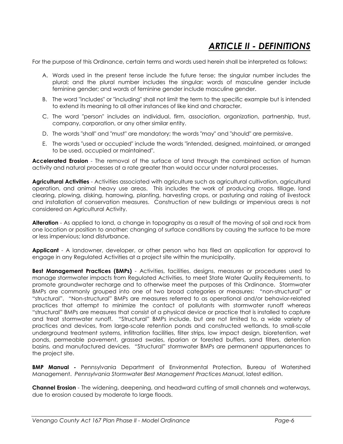### ARTICLE II - DEFINITIONS

For the purpose of this Ordinance, certain terms and words used herein shall be interpreted as follows:

- A. Words used in the present tense include the future tense; the singular number includes the plural; and the plural number includes the singular; words of masculine gender include feminine gender; and words of feminine gender include masculine gender.
- B. The word "includes" or "including" shall not limit the term to the specific example but is intended to extend its meaning to all other instances of like kind and character.
- C. The word "person" includes an individual, firm, association, organization, partnership, trust, company, corporation, or any other similar entity.
- D. The words "shall" and "must" are mandatory; the words "may" and "should" are permissive.
- E. The words "used or occupied" include the words "intended, designed, maintained, or arranged to be used, occupied or maintained".

Accelerated Erosion - The removal of the surface of land through the combined action of human activity and natural processes at a rate greater than would occur under natural processes.

Agricultural Activities - Activities associated with agriculture such as agricultural cultivation, agricultural operation, and animal heavy use areas. This includes the work of producing crops, tillage, land clearing, plowing, disking, harrowing, planting, harvesting crops, or pasturing and raising of livestock and installation of conservation measures. Construction of new buildings or impervious areas is not considered an Agricultural Activity.

Alteration - As applied to land, a change in topography as a result of the moving of soil and rock from one location or position to another; changing of surface conditions by causing the surface to be more or less impervious; land disturbance.

**Applicant** - A landowner, developer, or other person who has filed an application for approval to engage in any Regulated Activities at a project site within the municipality.

**Best Management Practices (BMPs)** - Activities, facilities, designs, measures or procedures used to manage stormwater impacts from Regulated Activities, to meet State Water Quality Requirements, to promote groundwater recharge and to otherwise meet the purposes of this Ordinance. Stormwater BMPs are commonly grouped into one of two broad categories or measures: "non-structural" or "structural". "Non-structural" BMPs are measures referred to as operational and/or behavior-related practices that attempt to minimize the contact of pollutants with stormwater runoff whereas "structural" BMPs are measures that consist of a physical device or practice that is installed to capture and treat stormwater runoff. "Structural" BMPs include, but are not limited to, a wide variety of practices and devices, from large-scale retention ponds and constructed wetlands, to small-scale underground treatment systems, infiltration facilities, filter strips, low impact design, bioretention, wet ponds, permeable pavement, grassed swales, riparian or forested buffers, sand filters, detention basins, and manufactured devices. "Structural" stormwater BMPs are permanent appurtenances to the project site.

**BMP Manual -** Pennsylvania Department of Environmental Protection, Bureau of Watershed Management. Pennsylvania Stormwater Best Management Practices Manual, latest edition.

Channel Erosion - The widening, deepening, and headward cutting of small channels and waterways, due to erosion caused by moderate to large floods.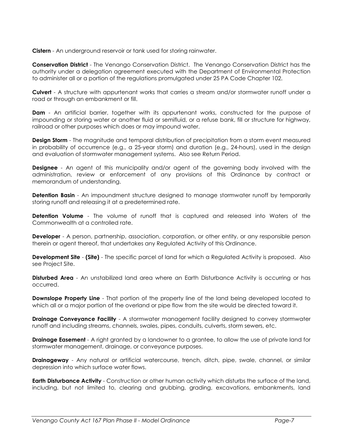Cistern - An underground reservoir or tank used for storing rainwater.

Conservation District - The Venango Conservation District. The Venango Conservation District has the authority under a delegation agreement executed with the Department of Environmental Protection to administer all or a portion of the regulations promulgated under 25 PA Code Chapter 102.

Culvert - A structure with appurtenant works that carries a stream and/or stormwater runoff under a road or through an embankment or fill.

**Dam** - An artificial barrier, together with its appurtenant works, constructed for the purpose of impounding or storing water or another fluid or semifluid, or a refuse bank, fill or structure for highway, railroad or other purposes which does or may impound water.

**Design Storm** - The magnitude and temporal distribution of precipitation from a storm event measured in probability of occurrence (e.g., a 25-year storm) and duration (e.g., 24-hours), used in the design and evaluation of stormwater management systems. Also see Return Period.

**Designee** - An agent of this municipality and/or agent of the governing body involved with the administration, review or enforcement of any provisions of this Ordinance by contract or memorandum of understanding.

**Detention Basin** - An impoundment structure designed to manage stormwater runoff by temporarily storing runoff and releasing it at a predetermined rate.

**Detention Volume** - The volume of runoff that is captured and released into Waters of the Commonwealth at a controlled rate.

**Developer** - A person, partnership, association, corporation, or other entity, or any responsible person therein or agent thereof, that undertakes any Regulated Activity of this Ordinance.

**Development Site - (Site)** - The specific parcel of land for which a Regulated Activity is proposed. Also see Project Site.

**Disturbed Area** - An unstabilized land area where an Earth Disturbance Activity is occurring or has occurred.

**Downslope Property Line** - That portion of the property line of the land being developed located to which all or a major portion of the overland or pipe flow from the site would be directed toward it.

**Drainage Conveyance Facility** - A stormwater management facility designed to convey stormwater runoff and including streams, channels, swales, pipes, conduits, culverts, storm sewers, etc.

**Drainage Easement** - A right granted by a landowner to a grantee, to allow the use of private land for stormwater management, drainage, or conveyance purposes.

Drainageway - Any natural or artificial watercourse, trench, ditch, pipe, swale, channel, or similar depression into which surface water flows.

**Earth Disturbance Activity** - Construction or other human activity which disturbs the surface of the land, including, but not limited to, clearing and grubbing, grading, excavations, embankments, land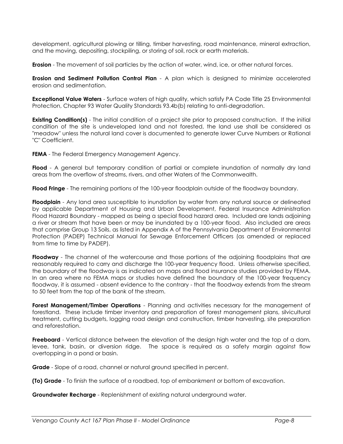development, agricultural plowing or tilling, timber harvesting, road maintenance, mineral extraction, and the moving, depositing, stockpiling, or storing of soil, rock or earth materials.

**Erosion** - The movement of soil particles by the action of water, wind, ice, or other natural forces.

**Erosion and Sediment Pollution Control Plan** - A plan which is designed to minimize accelerated erosion and sedimentation.

**Exceptional Value Waters** - Surface waters of high quality, which satisfy PA Code Title 25 Environmental Protection, Chapter 93 Water Quality Standards 93.4b(b) relating to anti-degradation.

**Existing Condition(s)** - The initial condition of a project site prior to proposed construction. If the initial condition of the site is undeveloped land and not forested, the land use shall be considered as "meadow" unless the natural land cover is documented to generate lower Curve Numbers or Rational "C" Coefficient.

FEMA - The Federal Emergency Management Agency.

Flood - A general but temporary condition of partial or complete inundation of normally dry land areas from the overflow of streams, rivers, and other Waters of the Commonwealth.

Flood Fringe - The remaining portions of the 100-year floodplain outside of the floodway boundary.

**Floodplain** - Any land area susceptible to inundation by water from any natural source or delineated by applicable Department of Housing and Urban Development, Federal Insurance Administration Flood Hazard Boundary - mapped as being a special flood hazard area. Included are lands adjoining a river or stream that have been or may be inundated by a 100-year flood. Also included are areas that comprise Group 13 Soils, as listed in Appendix A of the Pennsylvania Department of Environmental Protection (PADEP) Technical Manual for Sewage Enforcement Officers (as amended or replaced from time to time by PADEP).

**Floodway** - The channel of the watercourse and those portions of the adjoining floodplains that are reasonably required to carry and discharge the 100-year frequency flood. Unless otherwise specified, the boundary of the floodway is as indicated on maps and flood insurance studies provided by FEMA. In an area where no FEMA maps or studies have defined the boundary of the 100-year frequency floodway, it is assumed - absent evidence to the contrary - that the floodway extends from the stream to 50 feet from the top of the bank of the stream.

Forest Management/Timber Operations - Planning and activities necessary for the management of forestland. These include timber inventory and preparation of forest management plans, silvicultural treatment, cutting budgets, logging road design and construction, timber harvesting, site preparation and reforestation.

Freeboard - Vertical distance between the elevation of the design high water and the top of a dam, levee, tank, basin, or diversion ridge. The space is required as a safety margin against flow overtopping in a pond or basin.

Grade - Slope of a road, channel or natural ground specified in percent.

(To) Grade - To finish the surface of a roadbed, top of embankment or bottom of excavation.

Groundwater Recharge - Replenishment of existing natural underground water.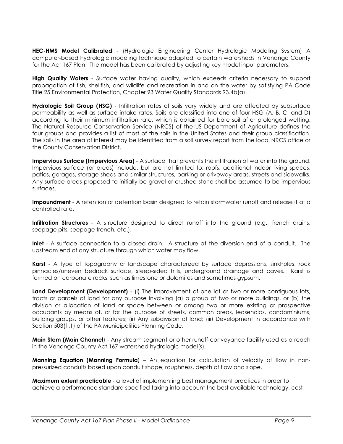HEC-HMS Model Calibrated - (Hydrologic Engineering Center Hydrologic Modeling System) A computer-based hydrologic modeling technique adapted to certain watersheds in Venango County for the Act 167 Plan. The model has been calibrated by adjusting key model input parameters.

**High Quality Waters** - Surface water having quality, which exceeds criteria necessary to support propagation of fish, shellfish, and wildlife and recreation in and on the water by satisfying PA Code Title 25 Environmental Protection, Chapter 93 Water Quality Standards 93.4b(a).

Hydrologic Soil Group (HSG) - Infiltration rates of soils vary widely and are affected by subsurface permeability as well as surface intake rates. Soils are classified into one of four HSG (A, B, C, and D) according to their minimum infiltration rate, which is obtained for bare soil after prolonged wetting. The Natural Resource Conservation Service (NRCS) of the US Department of Agriculture defines the four groups and provides a list of most of the soils in the United States and their group classification. The soils in the area of interest may be identified from a soil survey report from the local NRCS office or the County Conservation District.

**Impervious Surface (Impervious Area)** - A surface that prevents the infiltration of water into the ground. Impervious surface (or areas) include, but are not limited to: roofs, additional indoor living spaces, patios, garages, storage sheds and similar structures, parking or driveway areas, streets and sidewalks. Any surface areas proposed to initially be gravel or crushed stone shall be assumed to be impervious surfaces.

**Impoundment** - A retention or detention basin designed to retain stormwater runoff and release it at a controlled rate.

**Infiltration Structures** - A structure designed to direct runoff into the ground (e.g., french drains, seepage pits, seepage trench, etc.).

Inlet - A surface connection to a closed drain. A structure at the diversion end of a conduit. The upstream end of any structure through which water may flow.

**Karst** - A type of topography or landscape characterized by surface depressions, sinkholes, rock pinnacles/uneven bedrock surface, steep-sided hills, underground drainage and caves. Karst is formed on carbonate rocks, such as limestone or dolomites and sometimes gypsum.

Land Development (Development) - (i) The improvement of one lot or two or more contiguous lots, tracts or parcels of land for any purpose involving (a) a group of two or more buildings, or (b) the division or allocation of land or space between or among two or more existing or prospective occupants by means of, or for the purpose of streets, common areas, leaseholds, condominiums, building groups, or other features; (ii) Any subdivision of land; (iii) Development in accordance with Section 503(1.1) of the PA Municipalities Planning Code.

Main Stem (Main Channel) - Any stream segment or other runoff conveyance facility used as a reach in the Venango County Act 167 watershed hydrologic model(s).

Manning Equation (Manning Formula) - An equation for calculation of velocity of flow in nonpressurized conduits based upon conduit shape, roughness, depth of flow and slope.

**Maximum extent practicable** - a level of implementing best management practices in order to achieve a performance standard specified taking into account the best available technology, cost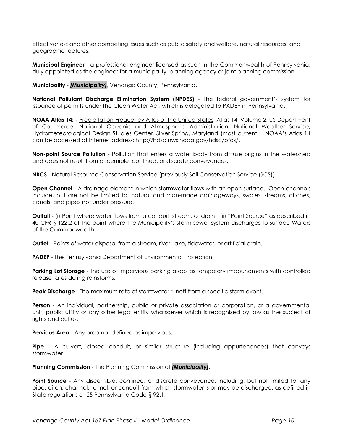effectiveness and other competing issues such as public safety and welfare, natural resources, and geographic features.

**Municipal Engineer** - a professional engineer licensed as such in the Commonwealth of Pennsylvania, duly appointed as the engineer for a municipality, planning agency or joint planning commission.

Municipality - [Municipality], Venango County, Pennsylvania.

National Pollutant Discharge Elimination System (NPDES) - The federal government's system for issuance of permits under the Clean Water Act, which is delegated to PADEP in Pennsylvania.

NOAA Atlas 14: - Precipitation-Frequency Atlas of the United States, Atlas 14, Volume 2, US Department of Commerce, National Oceanic and Atmospheric Administration, National Weather Service, Hydrometeorological Design Studies Center, Silver Spring, Maryland (most current). NOAA's Atlas 14 can be accessed at Internet address: http://hdsc.nws.noaa.gov/hdsc/pfds/.

Non-point Source Pollution - Pollution that enters a water body from diffuse origins in the watershed and does not result from discernible, confined, or discrete conveyances.

NRCS - Natural Resource Conservation Service (previously Soil Conservation Service (SCS)).

**Open Channel** - A drainage element in which stormwater flows with an open surface. Open channels include, but are not be limited to, natural and man-made drainageways, swales, streams, ditches, canals, and pipes not under pressure.

**Outfall** - (i) Point where water flows from a conduit, stream, or drain; (ii) "Point Source" as described in 40 CFR § 122.2 at the point where the Municipality's storm sewer system discharges to surface Waters of the Commonwealth.

**Outlet** - Points of water disposal from a stream, river, lake, tidewater, or artificial drain.

PADEP - The Pennsylvania Department of Environmental Protection.

**Parking Lot Storage** - The use of impervious parking areas as temporary impoundments with controlled release rates during rainstorms.

**Peak Discharge** - The maximum rate of stormwater runoff from a specific storm event.

Person - An individual, partnership, public or private association or corporation, or a governmental unit, public utility or any other legal entity whatsoever which is recognized by law as the subject of rights and duties.

Pervious Area - Any area not defined as impervious.

**Pipe** - A culvert, closed conduit, or similar structure (including appurtenances) that conveys stormwater.

Planning Commission - The Planning Commission of *[Municipality]*.

**Point Source** - Any discernible, confined, or discrete conveyance, including, but not limited to: any pipe, ditch, channel, tunnel, or conduit from which stormwater is or may be discharged, as defined in State regulations at 25 Pennsylvania Code § 92.1.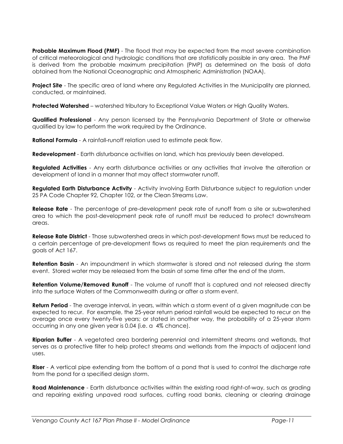**Probable Maximum Flood (PMF)** - The flood that may be expected from the most severe combination of critical meteorological and hydrologic conditions that are statistically possible in any area. The PMF is derived from the probable maximum precipitation (PMP) as determined on the basis of data obtained from the National Oceanographic and Atmospheric Administration (NOAA).

**Project Site** - The specific area of land where any Regulated Activities in the Municipality are planned, conducted, or maintained.

**Protected Watershed** – watershed tributary to Exceptional Value Waters or High Quality Waters.

**Qualified Professional** - Any person licensed by the Pennsylvania Department of State or otherwise qualified by law to perform the work required by the Ordinance.

**Rational Formula** - A rainfall-runoff relation used to estimate peak flow.

Redevelopment - Earth disturbance activities on land, which has previously been developed.

**Regulated Activities** - Any earth disturbance activities or any activities that involve the alteration or development of land in a manner that may affect stormwater runoff.

**Regulated Earth Disturbance Activity** - Activity involving Earth Disturbance subject to regulation under 25 PA Code Chapter 92, Chapter 102, or the Clean Streams Law.

**Release Rate** - The percentage of pre-development peak rate of runoff from a site or subwatershed area to which the post-development peak rate of runoff must be reduced to protect downstream areas.

**Release Rate District** - Those subwatershed areas in which post-development flows must be reduced to a certain percentage of pre-development flows as required to meet the plan requirements and the goals of Act 167.

**Retention Basin** - An impoundment in which stormwater is stored and not released during the storm event. Stored water may be released from the basin at some time after the end of the storm.

**Retention Volume/Removed Runoff** - The volume of runoff that is captured and not released directly into the surface Waters of the Commonwealth during or after a storm event.

Return Period - The average interval, in years, within which a storm event of a given magnitude can be expected to recur. For example, the 25-year return period rainfall would be expected to recur on the average once every twenty-five years; or stated in another way, the probability of a 25-year storm occurring in any one given year is 0.04 (i.e. a 4% chance).

**Riparian Buffer** - A vegetated area bordering perennial and intermittent streams and wetlands, that serves as a protective filter to help protect streams and wetlands from the impacts of adjacent land uses.

**Riser** - A vertical pipe extending from the bottom of a pond that is used to control the discharge rate from the pond for a specified design storm.

**Road Maintenance** - Earth disturbance activities within the existing road right-of-way, such as grading and repairing existing unpaved road surfaces, cutting road banks, cleaning or clearing drainage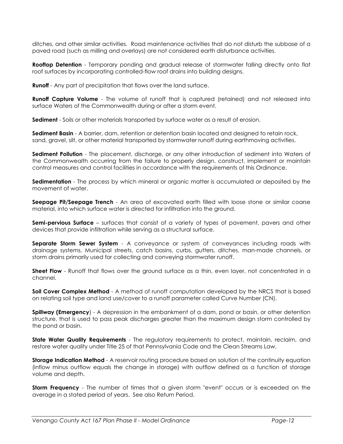ditches, and other similar activities. Road maintenance activities that do not disturb the subbase of a paved road (such as milling and overlays) are not considered earth disturbance activities.

**Rooftop Detention** - Temporary ponding and gradual release of stormwater falling directly onto flat roof surfaces by incorporating controlled-flow roof drains into building designs.

**Runoff** - Any part of precipitation that flows over the land surface.

**Runoff Capture Volume** - The volume of runoff that is captured (retained) and not released into surface Waters of the Commonwealth during or after a storm event.

Sediment - Soils or other materials transported by surface water as a result of erosion.

Sediment Basin - A barrier, dam, retention or detention basin located and designed to retain rock, sand, gravel, silt, or other material transported by stormwater runoff during earthmoving activities.

Sediment Pollution - The placement, discharge, or any other introduction of sediment into Waters of the Commonwealth occurring from the failure to properly design, construct, implement or maintain control measures and control facilities in accordance with the requirements of this Ordinance.

Sedimentation - The process by which mineral or organic matter is accumulated or deposited by the movement of water.

**Seepage Pit/Seepage Trench** - An area of excavated earth filled with loose stone or similar coarse material, into which surface water is directed for infiltration into the ground.

**Semi-pervious Surface** – surfaces that consist of a variety of types of pavement, pavers and other devices that provide infiltration while serving as a structural surface.

Separate Storm Sewer System - A conveyance or system of conveyances including roads with drainage systems, Municipal streets, catch basins, curbs, gutters, ditches, man-made channels, or storm drains primarily used for collecting and conveying stormwater runoff.

Sheet Flow - Runoff that flows over the ground surface as a thin, even layer, not concentrated in a channel.

**Soil Cover Complex Method** - A method of runoff computation developed by the NRCS that is based on relating soil type and land use/cover to a runoff parameter called Curve Number (CN).

**Spillway (Emergency)** - A depression in the embankment of a dam, pond or basin, or other detention structure, that is used to pass peak discharges greater than the maximum design storm controlled by the pond or basin.

State Water Quality Requirements - The regulatory requirements to protect, maintain, reclaim, and restore water quality under Title 25 of that Pennsylvania Code and the Clean Streams Law.

Storage Indication Method - A reservoir routing procedure based on solution of the continuity equation (inflow minus outflow equals the change in storage) with outflow defined as a function of storage volume and depth.

**Storm Frequency** - The number of times that a given storm "event" occurs or is exceeded on the average in a stated period of years. See also Return Period.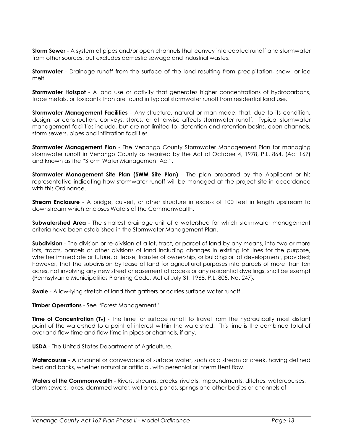**Storm Sewer** - A system of pipes and/or open channels that convey intercepted runoff and stormwater from other sources, but excludes domestic sewage and industrial wastes.

**Stormwater** - Drainage runoff from the surface of the land resulting from precipitation, snow, or ice melt.

Stormwater Hotspot - A land use or activity that generates higher concentrations of hydrocarbons, trace metals, or toxicants than are found in typical stormwater runoff from residential land use.

Stormwater Management Facilities - Any structure, natural or man-made, that, due to its condition, design, or construction, conveys, stores, or otherwise affects stormwater runoff. Typical stormwater management facilities include, but are not limited to: detention and retention basins, open channels, storm sewers, pipes and infiltration facilities.

**Stormwater Management Plan** - The Venango County Stormwater Management Plan for managing stormwater runoff in Venango County as required by the Act of October 4, 1978, P.L. 864, (Act 167) and known as the "Storm Water Management Act".

Stormwater Management Site Plan (SWM Site Plan) - The plan prepared by the Applicant or his representative indicating how stormwater runoff will be managed at the project site in accordance with this Ordinance.

**Stream Enclosure** - A bridge, culvert, or other structure in excess of 100 feet in length upstream to downstream which encloses Waters of the Commonwealth.

**Subwatershed Area** - The smallest drainage unit of a watershed for which stormwater management criteria have been established in the Stormwater Management Plan.

Subdivision - The division or re-division of a lot, tract, or parcel of land by any means, into two or more lots, tracts, parcels or other divisions of land including changes in existing lot lines for the purpose, whether immediate or future, of lease, transfer of ownership, or building or lot development, provided; however, that the subdivision by lease of land for agricultural purposes into parcels of more than ten acres, not involving any new street or easement of access or any residential dwellings, shall be exempt {Pennsylvania Municipalities Planning Code, Act of July 31, 1968, P.L. 805, No. 247}.

**Swale** - A low-lying stretch of land that gathers or carries surface water runoff.

Timber Operations - See "Forest Management".

**Time of Concentration (T<sub>c</sub>)** - The time for surface runoff to travel from the hydraulically most distant point of the watershed to a point of interest within the watershed. This time is the combined total of overland flow time and flow time in pipes or channels, if any.

USDA - The United States Department of Agriculture.

Watercourse - A channel or conveyance of surface water, such as a stream or creek, having defined bed and banks, whether natural or artificial, with perennial or intermittent flow.

Waters of the Commonwealth - Rivers, streams, creeks, rivulets, impoundments, ditches, watercourses, storm sewers, lakes, dammed water, wetlands, ponds, springs and other bodies or channels of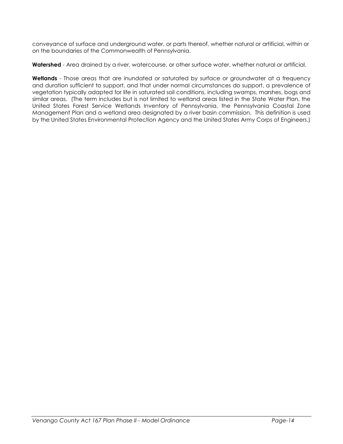conveyance of surface and underground water, or parts thereof, whether natural or artificial, within or on the boundaries of the Commonwealth of Pennsylvania.

Watershed - Area drained by a river, watercourse, or other surface water, whether natural or artificial.

Wetlands - Those areas that are inundated or saturated by surface or groundwater at a frequency and duration sufficient to support, and that under normal circumstances do support, a prevalence of vegetation typically adapted for life in saturated soil conditions, including swamps, marshes, bogs and similar areas. (The term includes but is not limited to wetland areas listed in the State Water Plan, the United States Forest Service Wetlands Inventory of Pennsylvania, the Pennsylvania Coastal Zone Management Plan and a wetland area designated by a river basin commission. This definition is used by the United States Environmental Protection Agency and the United States Army Corps of Engineers.)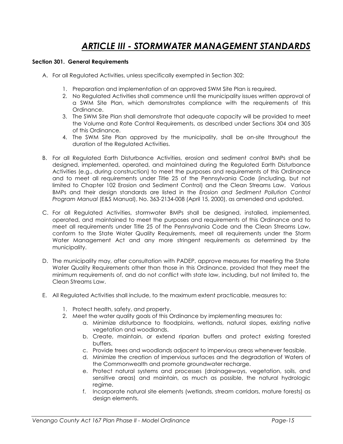### ARTICLE III - STORMWATER MANAGEMENT STANDARDS

#### Section 301. General Requirements

- A. For all Regulated Activities, unless specifically exempted in Section 302:
	- 1. Preparation and implementation of an approved SWM Site Plan is required.
	- 2. No Regulated Activities shall commence until the municipality issues written approval of a SWM Site Plan, which demonstrates compliance with the requirements of this Ordinance.
	- 3. The SWM Site Plan shall demonstrate that adequate capacity will be provided to meet the Volume and Rate Control Requirements, as described under Sections 304 and 305 of this Ordinance.
	- 4. The SWM Site Plan approved by the municipality, shall be on-site throughout the duration of the Regulated Activities.
- B. For all Regulated Earth Disturbance Activities, erosion and sediment control BMPs shall be designed, implemented, operated, and maintained during the Regulated Earth Disturbance Activities (e.g., during construction) to meet the purposes and requirements of this Ordinance and to meet all requirements under Title 25 of the Pennsylvania Code (including, but not limited to Chapter 102 Erosion and Sediment Control) and the Clean Streams Law. Various BMPs and their design standards are listed in the Erosion and Sediment Pollution Control Program Manual (E&S Manual), No. 363-2134-008 (April 15, 2000), as amended and updated.
- C. For all Regulated Activities, stormwater BMPs shall be designed, installed, implemented, operated, and maintained to meet the purposes and requirements of this Ordinance and to meet all requirements under Title 25 of the Pennsylvania Code and the Clean Streams Law, conform to the State Water Quality Requirements, meet all requirements under the Storm Water Management Act and any more stringent requirements as determined by the municipality.
- D. The municipality may, after consultation with PADEP, approve measures for meeting the State Water Quality Requirements other than those in this Ordinance, provided that they meet the minimum requirements of, and do not conflict with state law, including, but not limited to, the Clean Streams Law.
- E. All Regulated Activities shall include, to the maximum extent practicable, measures to:
	- 1. Protect health, safety, and property.
	- 2. Meet the water quality goals of this Ordinance by implementing measures to:
		- a. Minimize disturbance to floodplains, wetlands, natural slopes, existing native vegetation and woodlands.
		- b. Create, maintain, or extend riparian buffers and protect existing forested buffers.
		- c. Provide trees and woodlands adjacent to impervious areas whenever feasible.
		- d. Minimize the creation of impervious surfaces and the degradation of Waters of the Commonwealth and promote groundwater recharge.
		- e. Protect natural systems and processes (drainageways, vegetation, soils, and sensitive areas) and maintain, as much as possible, the natural hydrologic regime.
		- f. Incorporate natural site elements (wetlands, stream corridors, mature forests) as design elements.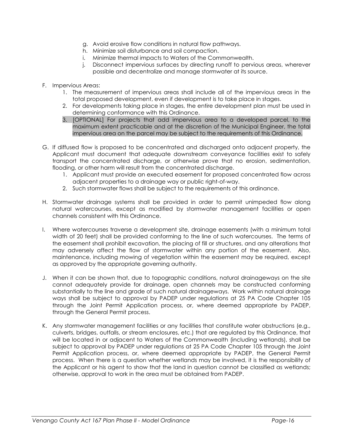- g. Avoid erosive flow conditions in natural flow pathways.
- h. Minimize soil disturbance and soil compaction.
- i. Minimize thermal impacts to Waters of the Commonwealth.
- j. Disconnect impervious surfaces by directing runoff to pervious areas, wherever possible and decentralize and manage stormwater at its source.
- F. Impervious Areas:
	- 1. The measurement of impervious areas shall include all of the impervious areas in the total proposed development, even if development is to take place in stages.
	- 2. For developments taking place in stages, the entire development plan must be used in determining conformance with this Ordinance.
	- 3. [OPTIONAL] For projects that add impervious area to a developed parcel, to the maximum extent practicable and at the discretion of the Municipal Engineer, the total impervious area on the parcel may be subject to the requirements of this Ordinance.
- G. If diffused flow is proposed to be concentrated and discharged onto adjacent property, the Applicant must document that adequate downstream conveyance facilities exist to safely transport the concentrated discharge, or otherwise prove that no erosion, sedimentation, flooding, or other harm will result from the concentrated discharge.
	- 1. Applicant must provide an executed easement for proposed concentrated flow across adjacent properties to a drainage way or public right-of-way.
	- 2. Such stormwater flows shall be subject to the requirements of this ordinance.
- H. Stormwater drainage systems shall be provided in order to permit unimpeded flow along natural watercourses, except as modified by stormwater management facilities or open channels consistent with this Ordinance.
- I. Where watercourses traverse a development site, drainage easements (with a minimum total width of 20 feet) shall be provided conforming to the line of such watercourses. The terms of the easement shall prohibit excavation, the placing of fill or structures, and any alterations that may adversely affect the flow of stormwater within any portion of the easement. Also, maintenance, including mowing of vegetation within the easement may be required, except as approved by the appropriate governing authority.
- J. When it can be shown that, due to topographic conditions, natural drainageways on the site cannot adequately provide for drainage, open channels may be constructed conforming substantially to the line and grade of such natural drainageways. Work within natural drainage ways shall be subject to approval by PADEP under regulations at 25 PA Code Chapter 105 through the Joint Permit Application process, or, where deemed appropriate by PADEP, through the General Permit process.
- K. Any stormwater management facilities or any facilities that constitute water obstructions (e.g., culverts, bridges, outfalls, or stream enclosures, etc.) that are regulated by this Ordinance, that will be located in or adjacent to Waters of the Commonwealth (including wetlands), shall be subject to approval by PADEP under regulations at 25 PA Code Chapter 105 through the Joint Permit Application process, or, where deemed appropriate by PADEP, the General Permit process. When there is a question whether wetlands may be involved, it is the responsibility of the Applicant or his agent to show that the land in question cannot be classified as wetlands; otherwise, approval to work in the area must be obtained from PADEP.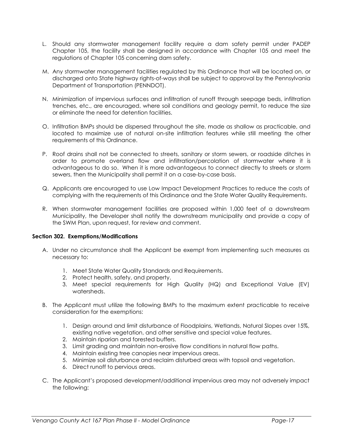- L. Should any stormwater management facility require a dam safety permit under PADEP Chapter 105, the facility shall be designed in accordance with Chapter 105 and meet the regulations of Chapter 105 concerning dam safety.
- M. Any stormwater management facilities regulated by this Ordinance that will be located on, or discharged onto State highway rights-of-ways shall be subject to approval by the Pennsylvania Department of Transportation (PENNDOT).
- N. Minimization of impervious surfaces and infiltration of runoff through seepage beds, infiltration trenches, etc., are encouraged, where soil conditions and geology permit, to reduce the size or eliminate the need for detention facilities.
- O. Infiltration BMPs should be dispersed throughout the site, made as shallow as practicable, and located to maximize use of natural on-site infiltration features while still meeting the other requirements of this Ordinance.
- P. Roof drains shall not be connected to streets, sanitary or storm sewers, or roadside ditches in order to promote overland flow and infiltration/percolation of stormwater where it is advantageous to do so. When it is more advantageous to connect directly to streets or storm sewers, then the Municipality shall permit it on a case-by-case basis.
- Q. Applicants are encouraged to use Low Impact Development Practices to reduce the costs of complying with the requirements of this Ordinance and the State Water Quality Requirements.
- R. When stormwater management facilities are proposed within 1,000 feet of a downstream Municipality, the Developer shall notify the downstream municipality and provide a copy of the SWM Plan, upon request, for review and comment.

### Section 302. Exemptions/Modifications

- A. Under no circumstance shall the Applicant be exempt from implementing such measures as necessary to:
	- 1. Meet State Water Quality Standards and Requirements.
	- 2. Protect health, safety, and property.
	- 3. Meet special requirements for High Quality (HQ) and Exceptional Value (EV) watersheds.
- B. The Applicant must utilize the following BMPs to the maximum extent practicable to receive consideration for the exemptions:
	- 1. Design around and limit disturbance of Floodplains, Wetlands, Natural Slopes over 15%, existing native vegetation, and other sensitive and special value features.
	- 2. Maintain riparian and forested buffers.
	- 3. Limit grading and maintain non-erosive flow conditions in natural flow paths.
	- 4. Maintain existing tree canopies near impervious areas.
	- 5. Minimize soil disturbance and reclaim disturbed areas with topsoil and vegetation.
	- 6. Direct runoff to pervious areas.
- C. The Applicant's proposed development/additional impervious area may not adversely impact the following: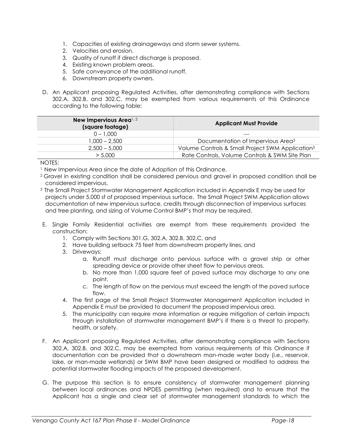- 1. Capacities of existing drainageways and storm sewer systems.
- 2. Velocities and erosion.
- 3. Quality of runoff if direct discharge is proposed.
- 4. Existing known problem areas.
- 5. Safe conveyance of the additional runoff.
- 6. Downstream property owners.
- D. An Applicant proposing Regulated Activities, after demonstrating compliance with Sections 302.A, 302.B, and 302.C, may be exempted from various requirements of this Ordinance according to the following table:

| New Impervious Area <sup>1, 2</sup><br>(square footage) | <b>Applicant Must Provide</b>                                |  |
|---------------------------------------------------------|--------------------------------------------------------------|--|
| $0 - 1.000$                                             | ---                                                          |  |
| $1.000 - 2.500$                                         | Documentation of Impervious Area <sup>3</sup>                |  |
| $2.500 - 5.000$                                         | Volume Controls & Small Project SWM Application <sup>3</sup> |  |
| > 5.000                                                 | Rate Controls, Volume Controls & SWM Site Plan               |  |

### NOTES:

- <sup>1</sup> New Impervious Area since the date of Adoption of this Ordinance.
- <sup>2</sup>Gravel in existing condition shall be considered pervious and gravel in proposed condition shall be considered impervious.
- <sup>3</sup>The Small Project Stormwater Management Application included in Appendix E may be used for projects under 5,000 sf of proposed impervious surface. The Small Project SWM Application allows documentation of new impervious surface, credits through disconnection of impervious surfaces and tree planting, and sizing of Volume Control BMP's that may be required.
- E. Single Family Residential activities are exempt from these requirements provided the construction:
	- 1. Comply with Sections 301.G, 302.A, 302.B, 302.C, and
	- 2. Have building setback 75 feet from downstream property lines, and
	- 3. Driveways:
		- a. Runoff must discharge onto pervious surface with a gravel strip or other spreading device or provide other sheet flow to pervious areas.
		- b. No more than 1,000 square feet of paved surface may discharge to any one point.
		- c. The length of flow on the pervious must exceed the length of the paved surface flow.
	- 4. The first page of the Small Project Stormwater Management Application included in Appendix E must be provided to document the proposed impervious area.
	- 5. The municipality can require more information or require mitigation of certain impacts through installation of stormwater management BMP's if there is a threat to property, health, or safety.
- F. An Applicant proposing Regulated Activities, after demonstrating compliance with Sections 302.A, 302.B, and 302.C, may be exempted from various requirements of this Ordinance if documentation can be provided that a downstream man-made water body (i.e., reservoir, lake, or man-made wetlands) or SWM BMP have been designed or modified to address the potential stormwater flooding impacts of the proposed development.
- G. The purpose this section is to ensure consistency of stormwater management planning between local ordinances and NPDES permitting (when required) and to ensure that the Applicant has a single and clear set of stormwater management standards to which the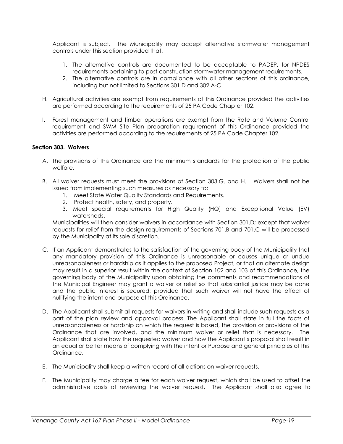Applicant is subject. The Municipality may accept alternative stormwater management controls under this section provided that:

- 1. The alternative controls are documented to be acceptable to PADEP, for NPDES requirements pertaining to post construction stormwater management requirements.
- 2. The alternative controls are in compliance with all other sections of this ordinance, including but not limited to Sections 301.D and 302.A-C.
- H. Agricultural activities are exempt from requirements of this Ordinance provided the activities are performed according to the requirements of 25 PA Code Chapter 102.
- I. Forest management and timber operations are exempt from the Rate and Volume Control requirement and SWM Site Plan preparation requirement of this Ordinance provided the activities are performed according to the requirements of 25 PA Code Chapter 102.

### Section 303. Waivers

- A. The provisions of this Ordinance are the minimum standards for the protection of the public welfare.
- B. All waiver requests must meet the provisions of Section 303.G. and H. Waivers shall not be issued from implementing such measures as necessary to:
	- 1. Meet State Water Quality Standards and Requirements.
	- 2. Protect health, safety, and property.
	- 3. Meet special requirements for High Quality (HQ) and Exceptional Value (EV) watersheds.

Municipalities will then consider waivers in accordance with Section 301.D; except that waiver requests for relief from the design requirements of Sections 701.B and 701.C will be processed by the Municipality at its sole discretion.

- C. If an Applicant demonstrates to the satisfaction of the governing body of the Municipality that any mandatory provision of this Ordinance is unreasonable or causes unique or undue unreasonableness or hardship as it applies to the proposed Project, or that an alternate design may result in a superior result within the context of Section 102 and 103 of this Ordinance, the governing body of the Municipality upon obtaining the comments and recommendations of the Municipal Engineer may grant a waiver or relief so that substantial justice may be done and the public interest is secured; provided that such waiver will not have the effect of nullifying the intent and purpose of this Ordinance.
- D. The Applicant shall submit all requests for waivers in writing and shall include such requests as a part of the plan review and approval process. The Applicant shall state in full the facts of unreasonableness or hardship on which the request is based, the provision or provisions of the Ordinance that are involved, and the minimum waiver or relief that is necessary. The Applicant shall state how the requested waiver and how the Applicant's proposal shall result in an equal or better means of complying with the intent or Purpose and general principles of this Ordinance.
- E. The Municipality shall keep a written record of all actions on waiver requests.
- F. The Municipality may charge a fee for each waiver request, which shall be used to offset the administrative costs of reviewing the waiver request. The Applicant shall also agree to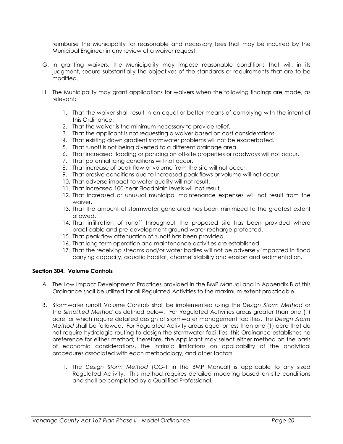reimburse the Municipality for reasonable and necessary fees that may be incurred by the Municipal Engineer in any review of a waiver request.

- G. In granting waivers, the Municipality may impose reasonable conditions that will, in its judgment, secure substantially the objectives of the standards or requirements that are to be modified.
- H. The Municipality may grant applications for waivers when the following findings are made, as relevant:
	- 1. That the waiver shall result in an equal or better means of complying with the intent of this Ordinance.
	- 2. That the waiver is the minimum necessary to provide relief.
	- 3. That the applicant is not requesting a waiver based on cost considerations.
	- 4. That existing down gradient stormwater problems will not be exacerbated.
	- 5. That runoff is not being diverted to a different drainage area.
	- 6. That increased flooding or ponding on off-site properties or roadways will not occur.
	- 7. That potential icing conditions will not occur.
	- 8. That increase of peak flow or volume from the site will not occur.
	- 9. That erosive conditions due to increased peak flows or volume will not occur.
	- 10. That adverse impact to water quality will not result.
	- 11. That increased 100-Year Floodplain levels will not result.
	- 12. That increased or unusual municipal maintenance expenses will not result from the waiver.
	- 13. That the amount of stormwater generated has been minimized to the greatest extent allowed.
	- 14. That infiltration of runoff throughout the proposed site has been provided where practicable and pre-development ground water recharge protected.
	- 15. That peak flow attenuation of runoff has been provided.
	- 16. That long term operation and maintenance activities are established.
	- 17. That the receiving streams and/or water bodies will not be adversely impacted in flood carrying capacity, aquatic habitat, channel stability and erosion and sedimentation.

### Section 304. Volume Controls

- A. The Low Impact Development Practices provided in the BMP Manual and in Appendix B of this Ordinance shall be utilized for all Regulated Activities to the maximum extent practicable.
- B. Stormwater runoff Volume Controls shall be implemented using the Design Storm Method or the Simplified Method as defined below. For Regulated Activities areas greater than one (1) acre, or which require detailed design of stormwater management facilities, the Design Storm Method shall be followed. For Regulated Activity areas equal or less than one (1) acre that do not require hydrologic routing to design the stormwater facilities, this Ordinance establishes no preference for either method; therefore, the Applicant may select either method on the basis of economic considerations, the intrinsic limitations on applicability of the analytical procedures associated with each methodology, and other factors.
	- 1. The Design Storm Method (CG-1 in the BMP Manual) is applicable to any sized Regulated Activity. This method requires detailed modeling based on site conditions and shall be completed by a Qualified Professional.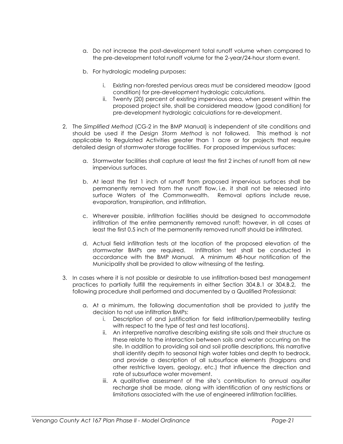- a. Do not increase the post-development total runoff volume when compared to the pre-development total runoff volume for the 2-year/24-hour storm event.
- b. For hydrologic modeling purposes:
	- i. Existing non-forested pervious areas must be considered meadow (good condition) for pre-development hydrologic calculations.
	- ii. Twenty (20) percent of existing impervious area, when present within the proposed project site, shall be considered meadow (good condition) for pre-development hydrologic calculations for re-development.
- 2. The Simplified Method (CG-2 in the BMP Manual) is independent of site conditions and should be used if the Design Storm Method is not followed. This method is not applicable to Regulated Activities greater than 1 acre or for projects that require detailed design of stormwater storage facilities. For proposed impervious surfaces:
	- a. Stormwater facilities shall capture at least the first 2 inches of runoff from all new impervious surfaces.
	- b. At least the first 1 inch of runoff from proposed impervious surfaces shall be permanently removed from the runoff flow, i.e. it shall not be released into surface Waters of the Commonwealth. Removal options include reuse, evaporation, transpiration, and infiltration.
	- c. Wherever possible, infiltration facilities should be designed to accommodate infiltration of the entire permanently removed runoff; however, in all cases at least the first 0.5 inch of the permanently removed runoff should be infiltrated.
	- d. Actual field infiltration tests at the location of the proposed elevation of the stormwater BMPs are required. Infiltration test shall be conducted in accordance with the BMP Manual. A minimum 48-hour notification of the Municipality shall be provided to allow witnessing of the testing.
- 3. In cases where it is not possible or desirable to use infiltration-based best management practices to partially fulfill the requirements in either Section 304.B.1 or 304.B.2, the following procedure shall performed and documented by a Qualified Professional:
	- a. At a minimum, the following documentation shall be provided to justify the decision to not use infiltration BMPs:
		- i. Description of and justification for field infiltration/permeability testing with respect to the type of test and test locations).
		- ii. An interpretive narrative describing existing site soils and their structure as these relate to the interaction between soils and water occurring on the site. In addition to providing soil and soil profile descriptions, this narrative shall identify depth to seasonal high water tables and depth to bedrock, and provide a description of all subsurface elements (fragipans and other restrictive layers, geology, etc.) that influence the direction and rate of subsurface water movement.
		- iii. A qualitative assessment of the site's contribution to annual aquifer recharge shall be made, along with identification of any restrictions or limitations associated with the use of engineered infiltration facilities.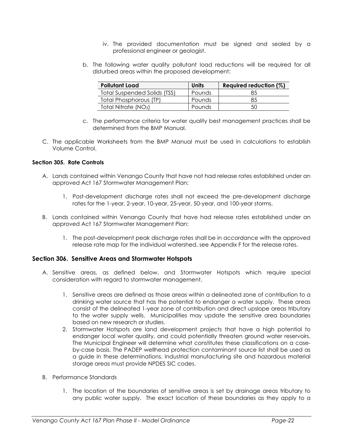- iv. The provided documentation must be signed and sealed by a professional engineer or geologist.
- b. The following water quality pollutant load reductions will be required for all disturbed areas within the proposed development:

| <b>Pollutant Load</b>            | <b>Units</b>  | Required reduction (%) |
|----------------------------------|---------------|------------------------|
| Total Suspended Solids (TSS)     | <b>Pounds</b> | 85                     |
| Total Phosphorous (TP)           | Pounds        | 85                     |
| Total Nitrate (NO <sub>3</sub> ) | Pounds        | 50                     |

- c. The performance criteria for water quality best management practices shall be determined from the BMP Manual.
- C. The applicable Worksheets from the BMP Manual must be used in calculations to establish Volume Control.

### Section 305. Rate Controls

- A. Lands contained within Venango County that have not had release rates established under an approved Act 167 Stormwater Management Plan:
	- 1. Post-development discharge rates shall not exceed the pre-development discharge rates for the 1-year, 2-year, 10-year, 25-year, 50-year, and 100-year storms.
- B. Lands contained within Venango County that have had release rates established under an approved Act 167 Stormwater Management Plan:
	- 1. The post-development peak discharge rates shall be in accordance with the approved release rate map for the individual watershed, see Appendix F for the release rates.

### Section 306. Sensitive Areas and Stormwater Hotspots

- A. Sensitive areas, as defined below, and Stormwater Hotspots which require special consideration with regard to stormwater management.
	- 1. Sensitive areas are defined as those areas within a delineated zone of contribution to a drinking water source that has the potential to endanger a water supply. These areas consist of the delineated 1-year zone of contribution and direct upslope areas tributary to the water supply wells. Municipalities may update the sensitive area boundaries based on new research or studies.
	- 2. Stormwater Hotspots are land development projects that have a high potential to endanger local water quality, and could potentially threaten ground water reservoirs. The Municipal Engineer will determine what constitutes these classifications on a caseby-case basis. The PADEP wellhead protection contaminant source list shall be used as a guide in these determinations. Industrial manufacturing site and hazardous material storage areas must provide NPDES SIC codes.
- B. Performance Standards
	- 1. The location of the boundaries of sensitive areas is set by drainage areas tributary to any public water supply. The exact location of these boundaries as they apply to a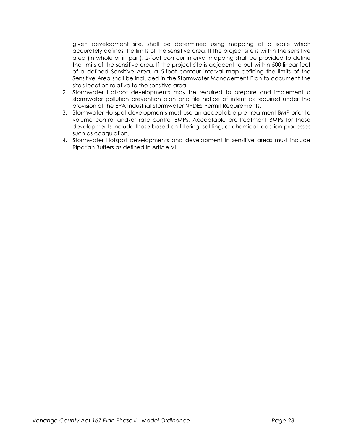given development site, shall be determined using mapping at a scale which accurately defines the limits of the sensitive area. If the project site is within the sensitive area (in whole or in part), 2-foot contour interval mapping shall be provided to define the limits of the sensitive area. If the project site is adjacent to but within 500 linear feet of a defined Sensitive Area, a 5-foot contour interval map defining the limits of the Sensitive Area shall be included in the Stormwater Management Plan to document the site's location relative to the sensitive area.

- 2. Stormwater Hotspot developments may be required to prepare and implement a stormwater pollution prevention plan and file notice of intent as required under the provision of the EPA Industrial Stormwater NPDES Permit Requirements.
- 3. Stormwater Hotspot developments must use an acceptable pre-treatment BMP prior to volume control and/or rate control BMPs. Acceptable pre-treatment BMPs for these developments include those based on filtering, settling, or chemical reaction processes such as coagulation.
- 4. Stormwater Hotspot developments and development in sensitive areas must include Riparian Buffers as defined in Article VI.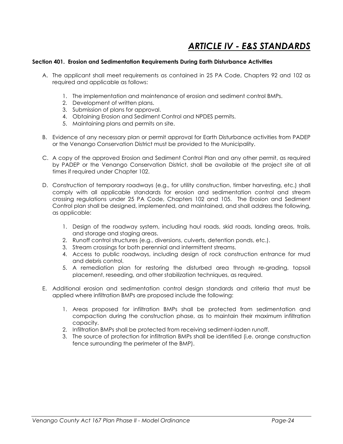### ARTICLE IV - E&S STANDARDS

#### Section 401. Erosion and Sedimentation Requirements During Earth Disturbance Activities

- A. The applicant shall meet requirements as contained in 25 PA Code, Chapters 92 and 102 as required and applicable as follows:
	- 1. The implementation and maintenance of erosion and sediment control BMPs.
	- 2. Development of written plans.
	- 3. Submission of plans for approval.
	- 4. Obtaining Erosion and Sediment Control and NPDES permits.
	- 5. Maintaining plans and permits on site.
- B. Evidence of any necessary plan or permit approval for Earth Disturbance activities from PADEP or the Venango Conservation District must be provided to the Municipality.
- C. A copy of the approved Erosion and Sediment Control Plan and any other permit, as required by PADEP or the Venango Conservation District, shall be available at the project site at all times if required under Chapter 102.
- D. Construction of temporary roadways (e.g., for utility construction, timber harvesting, etc.) shall comply with all applicable standards for erosion and sedimentation control and stream crossing regulations under 25 PA Code, Chapters 102 and 105. The Erosion and Sediment Control plan shall be designed, implemented, and maintained, and shall address the following, as applicable:
	- 1. Design of the roadway system, including haul roads, skid roads, landing areas, trails, and storage and staging areas.
	- 2. Runoff control structures (e.g., diversions, culverts, detention ponds, etc.).
	- 3. Stream crossings for both perennial and intermittent streams.
	- 4. Access to public roadways, including design of rock construction entrance for mud and debris control.
	- 5. A remediation plan for restoring the disturbed area through re-grading, topsoil placement, reseeding, and other stabilization techniques, as required.
- E. Additional erosion and sedimentation control design standards and criteria that must be applied where infiltration BMPs are proposed include the following:
	- 1. Areas proposed for infiltration BMPs shall be protected from sedimentation and compaction during the construction phase, as to maintain their maximum infiltration capacity.
	- 2. Infiltration BMPs shall be protected from receiving sediment-laden runoff.
	- 3. The source of protection for infiltration BMPs shall be identified (i.e. orange construction fence surrounding the perimeter of the BMP).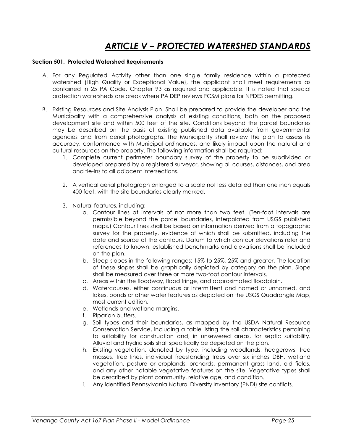### ARTICLE V – PROTECTED WATERSHED STANDARDS

#### Section 501. Protected Watershed Requirements

- A. For any Regulated Activity other than one single family residence within a protected watershed (High Quality or Exceptional Value), the applicant shall meet requirements as contained in 25 PA Code, Chapter 93 as required and applicable. It is noted that special protection watersheds are areas where PA DEP reviews PCSM plans for NPDES permitting.
- B. Existing Resources and Site Analysis Plan. Shall be prepared to provide the developer and the Municipality with a comprehensive analysis of existing conditions, both on the proposed development site and within 500 feet of the site. Conditions beyond the parcel boundaries may be described on the basis of existing published data available from governmental agencies and from aerial photographs. The Municipality shall review the plan to assess its accuracy, conformance with Municipal ordinances, and likely impact upon the natural and cultural resources on the property. The following information shall be required:
	- 1. Complete current perimeter boundary survey of the property to be subdivided or developed prepared by a registered surveyor, showing all courses, distances, and area and tie-ins to all adjacent intersections.
	- 2. A vertical aerial photograph enlarged to a scale not less detailed than one inch equals 400 feet, with the site boundaries clearly marked.
	- 3. Natural features, including:
		- a. Contour lines at intervals of not more than two feet. (Ten-foot intervals are permissible beyond the parcel boundaries, interpolated from USGS published maps.) Contour lines shall be based on information derived from a topographic survey for the property, evidence of which shall be submitted, including the date and source of the contours. Datum to which contour elevations refer and references to known, established benchmarks and elevations shall be included on the plan.
		- b. Steep slopes in the following ranges: 15% to 25%, 25% and greater. The location of these slopes shall be graphically depicted by category on the plan. Slope shall be measured over three or more two-foot contour intervals.
		- c. Areas within the floodway, flood fringe, and approximated floodplain.
		- d. Watercourses, either continuous or intermittent and named or unnamed, and lakes, ponds or other water features as depicted on the USGS Quadrangle Map, most current edition.
		- e. Wetlands and wetland margins.
		- f. Riparian buffers.
		- g. Soil types and their boundaries, as mapped by the USDA Natural Resource Conservation Service, including a table listing the soil characteristics pertaining to suitability for construction and, in unsewered areas, for septic suitability. Alluvial and hydric soils shall specifically be depicted on the plan.
		- h. Existing vegetation, denoted by type, including woodlands, hedgerows, tree masses, tree lines, individual freestanding trees over six inches DBH, wetland vegetation, pasture or croplands, orchards, permanent grass land, old fields, and any other notable vegetative features on the site. Vegetative types shall be described by plant community, relative age, and condition.
		- i. Any identified Pennsylvania Natural Diversity Inventory (PNDI) site conflicts.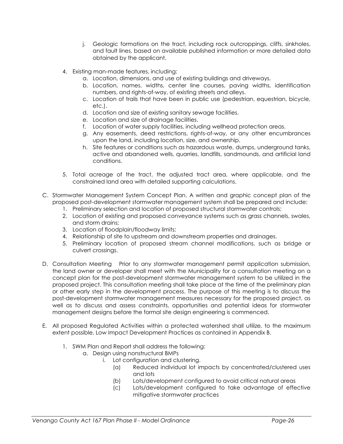- j. Geologic formations on the tract, including rock outcroppings, cliffs, sinkholes, and fault lines, based on available published information or more detailed data obtained by the applicant.
- 4. Existing man-made features, including:
	- a. Location, dimensions, and use of existing buildings and driveways.
	- b. Location, names, widths, center line courses, paving widths, identification numbers, and rights-of-way, of existing streets and alleys.
	- c. Location of trails that have been in public use (pedestrian, equestrian, bicycle, etc.).
	- d. Location and size of existing sanitary sewage facilities.
	- e. Location and size of drainage facilities.
	- f. Location of water supply facilities, including wellhead protection areas.
	- g. Any easements, deed restrictions, rights-of-way, or any other encumbrances upon the land, including location, size, and ownership.
	- h. Site features or conditions such as hazardous waste, dumps, underground tanks, active and abandoned wells, quarries, landfills, sandmounds, and artificial land conditions.
- 5. Total acreage of the tract, the adjusted tract area, where applicable, and the constrained land area with detailed supporting calculations.
- C. Stormwater Management System Concept Plan. A written and graphic concept plan of the proposed post-development stormwater management system shall be prepared and include:
	- 1. Preliminary selection and location of proposed structural stormwater controls;
	- 2. Location of existing and proposed conveyance systems such as grass channels, swales, and storm drains;
	- 3. Location of floodplain/floodway limits;
	- 4. Relationship of site to upstream and downstream properties and drainages.
	- 5. Preliminary location of proposed stream channel modifications, such as bridge or culvert crossings.
- D. Consultation Meeting Prior to any stormwater management permit application submission, the land owner or developer shall meet with the Municipality for a consultation meeting on a concept plan for the post-development stormwater management system to be utilized in the proposed project. This consultation meeting shall take place at the time of the preliminary plan or other early step in the development process. The purpose of this meeting is to discuss the post-development stormwater management measures necessary for the proposed project, as well as to discuss and assess constraints, opportunities and potential ideas for stormwater management designs before the formal site design engineering is commenced.
- E. All proposed Regulated Activities within a protected watershed shall utilize, to the maximum extent possible, Low Impact Development Practices as contained in Appendix B.
	- 1. SWM Plan and Report shall address the following:
		- a. Design using nonstructural BMPs
			- i. Lot configuration and clustering.
				- (a) Reduced individual lot impacts by concentrated/clustered uses and lots
				- (b) Lots/development configured to avoid critical natural areas
				- (c) Lots/development configured to take advantage of effective mitigative stormwater practices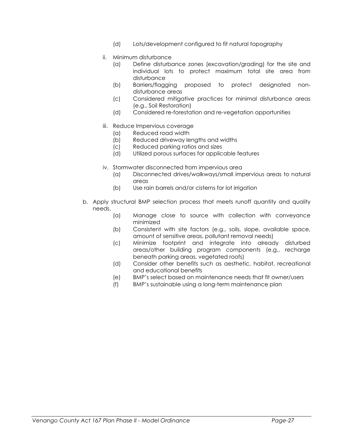- (d) Lots/development configured to fit natural topography
- ii. Minimum disturbance
	- (a) Define disturbance zones (excavation/grading) for the site and individual lots to protect maximum total site area from disturbance
	- (b) Barriers/flagging proposed to protect designated nondisturbance areas
	- (c) Considered mitigative practices for minimal disturbance areas (e.g., Soil Restoration)
	- (d) Considered re-forestation and re-vegetation opportunities
- iii. Reduce Impervious coverage
	- (a) Reduced road width
	- (b) Reduced driveway lengths and widths
	- (c) Reduced parking ratios and sizes
	- (d) Utilized porous surfaces for applicable features
- iv. Stormwater disconnected from impervious area
	- (a) Disconnected drives/walkways/small impervious areas to natural areas
	- (b) Use rain barrels and/or cisterns for lot irrigation
- b. Apply structural BMP selection process that meets runoff quantity and quality needs.
	- (a) Manage close to source with collection with conveyance minimized
	- (b) Consistent with site factors (e.g., soils, slope, available space, amount of sensitive areas, pollutant removal needs)
	- (c) Minimize footprint and integrate into already disturbed areas/other building program components (e.g., recharge beneath parking areas, vegetated roofs)
	- (d) Consider other benefits such as aesthetic, habitat, recreational and educational benefits
	- (e) BMP's select based on maintenance needs that fit owner/users
	- (f) BMP's sustainable using a long-term maintenance plan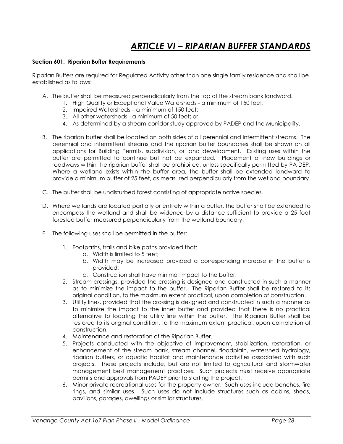## ARTICLE VI – RIPARIAN BUFFER STANDARDS

#### Section 601. Riparian Buffer Requirements

Riparian Buffers are required for Regulated Activity other than one single family residence and shall be established as follows:

- A. The buffer shall be measured perpendicularly from the top of the stream bank landward.
	- 1. High Quality or Exceptional Value Watersheds a minimum of 150 feet;
	- 2. Impaired Watersheds a minimum of 150 feet;
	- 3. All other watersheds a minimum of 50 feet; or
	- 4. As determined by a stream corridor study approved by PADEP and the Municipality.
- B. The riparian buffer shall be located on both sides of all perennial and intermittent streams. The perennial and intermittent streams and the riparian buffer boundaries shall be shown on all applications for Building Permits, subdivision, or land development. Existing uses within the buffer are permitted to continue but not be expanded. Placement of new buildings or roadways within the riparian buffer shall be prohibited, unless specifically permitted by PA DEP. Where a wetland exists within the buffer area, the buffer shall be extended landward to provide a minimum buffer of 25 feet, as measured perpendicularly from the wetland boundary.
- C. The buffer shall be undisturbed forest consisting of appropriate native species.
- D. Where wetlands are located partially or entirely within a buffer, the buffer shall be extended to encompass the wetland and shall be widened by a distance sufficient to provide a 25 foot forested buffer measured perpendicularly from the wetland boundary.
- E. The following uses shall be permitted in the buffer:
	- 1. Footpaths, trails and bike paths provided that:
		- a. Width is limited to 5 feet;
		- b. Width may be increased provided a corresponding increase in the buffer is provided;
		- c. Construction shall have minimal impact to the buffer.
	- 2. Stream crossings, provided the crossing is designed and constructed in such a manner as to minimize the impact to the buffer. The Riparian Buffer shall be restored to its original condition, to the maximum extent practical, upon completion of construction.
	- 3. Utility lines, provided that the crossing is designed and constructed in such a manner as to minimize the impact to the inner buffer and provided that there is no practical alternative to locating the utility line within the buffer. The Riparian Buffer shall be restored to its original condition, to the maximum extent practical, upon completion of construction.
	- 4. Maintenance and restoration of the Riparian Buffer.
	- 5. Projects conducted with the objective of improvement, stabilization, restoration, or enhancement of the stream bank, stream channel, floodplain, watershed hydrology, riparian buffers, or aquatic habitat and maintenance activities associated with such projects. These projects include, but are not limited to agricultural and stormwater management best management practices. Such projects must receive appropriate permits and approvals from PADEP prior to starting the project.
	- 6. Minor private recreational uses for the property owner. Such uses include benches, fire rings, and similar uses. Such uses do not include structures such as cabins, sheds, pavilions, garages, dwellings or similar structures.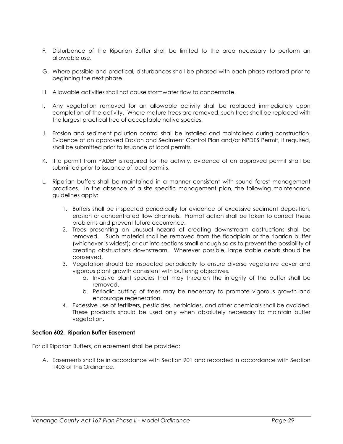- F. Disturbance of the Riparian Buffer shall be limited to the area necessary to perform an allowable use.
- G. Where possible and practical, disturbances shall be phased with each phase restored prior to beginning the next phase.
- H. Allowable activities shall not cause stormwater flow to concentrate.
- I. Any vegetation removed for an allowable activity shall be replaced immediately upon completion of the activity. Where mature trees are removed, such trees shall be replaced with the largest practical tree of acceptable native species.
- J. Erosion and sediment pollution control shall be installed and maintained during construction. Evidence of an approved Erosion and Sediment Control Plan and/or NPDES Permit, if required, shall be submitted prior to issuance of local permits.
- K. If a permit from PADEP is required for the activity, evidence of an approved permit shall be submitted prior to issuance of local permits.
- L. Riparian buffers shall be maintained in a manner consistent with sound forest management practices. In the absence of a site specific management plan, the following maintenance guidelines apply:
	- 1. Buffers shall be inspected periodically for evidence of excessive sediment deposition, erosion or concentrated flow channels. Prompt action shall be taken to correct these problems and prevent future occurrence.
	- 2. Trees presenting an unusual hazard of creating downstream obstructions shall be removed. Such material shall be removed from the floodplain or the riparian buffer (whichever is widest); or cut into sections small enough so as to prevent the possibility of creating obstructions downstream. Wherever possible, large stable debris should be conserved.
	- 3. Vegetation should be inspected periodically to ensure diverse vegetative cover and vigorous plant growth consistent with buffering objectives.
		- a. Invasive plant species that may threaten the integrity of the buffer shall be removed.
		- b. Periodic cutting of trees may be necessary to promote vigorous growth and encourage regeneration.
	- 4. Excessive use of fertilizers, pesticides, herbicides, and other chemicals shall be avoided. These products should be used only when absolutely necessary to maintain buffer vegetation.

### Section 602. Riparian Buffer Easement

For all Riparian Buffers, an easement shall be provided:

A. Easements shall be in accordance with Section 901 and recorded in accordance with Section 1403 of this Ordinance.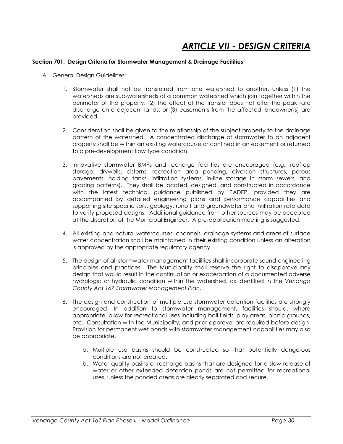### ARTICLE VII - DESIGN CRITERIA

### Section 701. Design Criteria for Stormwater Management & Drainage Facilities

- A. General Design Guidelines:
	- 1. Stormwater shall not be transferred from one watershed to another, unless (1) the watersheds are sub-watersheds of a common watershed which join together within the perimeter of the property; (2) the effect of the transfer does not alter the peak rate discharge onto adjacent lands; or (3) easements from the affected landowner(s) are provided.
	- 2. Consideration shall be given to the relationship of the subject property to the drainage pattern of the watershed. A concentrated discharge of stormwater to an adjacent property shall be within an existing watercourse or confined in an easement or returned to a pre-development flow type condition.
	- 3. Innovative stormwater BMPs and recharge facilities are encouraged (e.g., rooftop storage, drywells, cisterns, recreation area ponding, diversion structures, porous pavements, holding tanks, infiltration systems, in-line storage in storm sewers, and grading patterns). They shall be located, designed, and constructed in accordance with the latest technical guidance published by PADEP, provided they are accompanied by detailed engineering plans and performance capabilities and supporting site specific soils, geology, runoff and groundwater and infiltration rate data to verify proposed designs. Additional guidance from other sources may be accepted at the discretion of the Municipal Engineer. A pre-application meeting is suggested.
	- 4. All existing and natural watercourses, channels, drainage systems and areas of surface water concentration shall be maintained in their existing condition unless an alteration is approved by the appropriate regulatory agency.
	- 5. The design of all stormwater management facilities shall incorporate sound engineering principles and practices. The Municipality shall reserve the right to disapprove any design that would result in the continuation or exacerbation of a documented adverse hydrologic or hydraulic condition within the watershed, as identified in the Venango County Act 167 Stormwater Management Plan.
	- 6. The design and construction of multiple use stormwater detention facilities are strongly encouraged. In addition to stormwater management, facilities should, where appropriate, allow for recreational uses including ball fields, play areas, picnic grounds, etc. Consultation with the Municipality, and prior approval are required before design. Provision for permanent wet ponds with stormwater management capabilities may also be appropriate.
		- a. Multiple use basins should be constructed so that potentially dangerous conditions are not created.
		- b. Water quality basins or recharge basins that are designed for a slow release of water or other extended detention ponds are not permitted for recreational uses, unless the ponded areas are clearly separated and secure.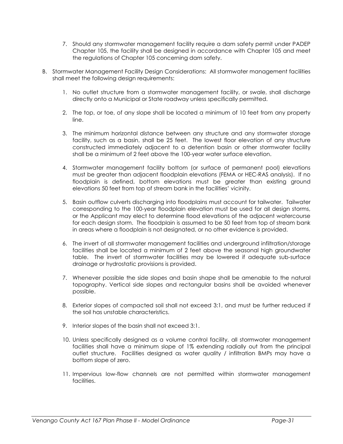- 7. Should any stormwater management facility require a dam safety permit under PADEP Chapter 105, the facility shall be designed in accordance with Chapter 105 and meet the regulations of Chapter 105 concerning dam safety.
- B. Stormwater Management Facility Design Considerations: All stormwater management facilities shall meet the following design requirements:
	- 1. No outlet structure from a stormwater management facility, or swale, shall discharge directly onto a Municipal or State roadway unless specifically permitted.
	- 2. The top, or toe, of any slope shall be located a minimum of 10 feet from any property line.
	- 3. The minimum horizontal distance between any structure and any stormwater storage facility, such as a basin, shall be 25 feet. The lowest floor elevation of any structure constructed immediately adjacent to a detention basin or other stormwater facility shall be a minimum of 2 feet above the 100-year water surface elevation.
	- 4. Stormwater management facility bottom (or surface of permanent pool) elevations must be greater than adjacent floodplain elevations (FEMA or HEC-RAS analysis). If no floodplain is defined, bottom elevations must be greater than existing ground elevations 50 feet from top of stream bank in the facilities' vicinity.
	- 5. Basin outflow culverts discharging into floodplains must account for tailwater. Tailwater corresponding to the 100-year floodplain elevation must be used for all design storms, or the Applicant may elect to determine flood elevations of the adjacent watercourse for each design storm. The floodplain is assumed to be 50 feet from top of stream bank in areas where a floodplain is not designated, or no other evidence is provided.
	- 6. The invert of all stormwater management facilities and underground infiltration/storage facilities shall be located a minimum of 2 feet above the seasonal high groundwater table. The invert of stormwater facilities may be lowered if adequate sub-surface drainage or hydrostatic provisions is provided.
	- 7. Whenever possible the side slopes and basin shape shall be amenable to the natural topography. Vertical side slopes and rectangular basins shall be avoided whenever possible.
	- 8. Exterior slopes of compacted soil shall not exceed 3:1, and must be further reduced if the soil has unstable characteristics.
	- 9. Interior slopes of the basin shall not exceed 3:1.
	- 10. Unless specifically designed as a volume control facility, all stormwater management facilities shall have a minimum slope of 1% extending radially out from the principal outlet structure. Facilities designed as water quality / infiltration BMPs may have a bottom slope of zero.
	- 11. Impervious low-flow channels are not permitted within stormwater management facilities.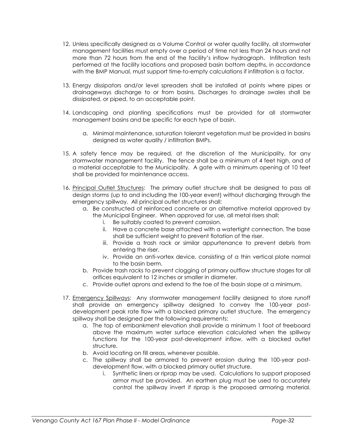- 12. Unless specifically designed as a Volume Control or water quality facility, all stormwater management facilities must empty over a period of time not less than 24 hours and not more than 72 hours from the end of the facility's inflow hydrograph. Infiltration tests performed at the facility locations and proposed basin bottom depths, in accordance with the BMP Manual, must support time-to-empty calculations if infiltration is a factor.
- 13. Energy dissipators and/or level spreaders shall be installed at points where pipes or drainageways discharge to or from basins. Discharges to drainage swales shall be dissipated, or piped, to an acceptable point.
- 14. Landscaping and planting specifications must be provided for all stormwater management basins and be specific for each type of basin.
	- a. Minimal maintenance, saturation tolerant vegetation must be provided in basins designed as water quality / infiltration BMPs.
- 15. A safety fence may be required, at the discretion of the Municipality, for any stormwater management facility. The fence shall be a minimum of 4 feet high, and of a material acceptable to the Municipality. A gate with a minimum opening of 10 feet shall be provided for maintenance access.
- 16. Principal Outlet Structures: The primary outlet structure shall be designed to pass all design storms (up to and including the 100-year event) without discharging through the emergency spillway. All principal outlet structures shall:
	- a. Be constructed of reinforced concrete or an alternative material approved by the Municipal Engineer. When approved for use, all metal risers shall:
		- i. Be suitably coated to prevent corrosion.
		- ii. Have a concrete base attached with a watertight connection. The base shall be sufficient weight to prevent flotation of the riser.
		- iii. Provide a trash rack or similar appurtenance to prevent debris from entering the riser.
		- iv. Provide an anti-vortex device, consisting of a thin vertical plate normal to the basin berm.
	- b. Provide trash racks to prevent clogging of primary outflow structure stages for all orifices equivalent to 12 inches or smaller in diameter.
	- c. Provide outlet aprons and extend to the toe of the basin slope at a minimum.
- 17. Emergency Spillways: Any stormwater management facility designed to store runoff shall provide an emergency spillway designed to convey the 100-year postdevelopment peak rate flow with a blocked primary outlet structure. The emergency spillway shall be designed per the following requirements:
	- a. The top of embankment elevation shall provide a minimum 1 foot of freeboard above the maximum water surface elevation calculated when the spillway functions for the 100-year post-development inflow, with a blocked outlet structure.
	- b. Avoid locating on fill areas, whenever possible.
	- c. The spillway shall be armored to prevent erosion during the 100-year postdevelopment flow, with a blocked primary outlet structure.
		- i. Synthetic liners or riprap may be used. Calculations to support proposed armor must be provided. An earthen plug must be used to accurately control the spillway invert if riprap is the proposed armoring material.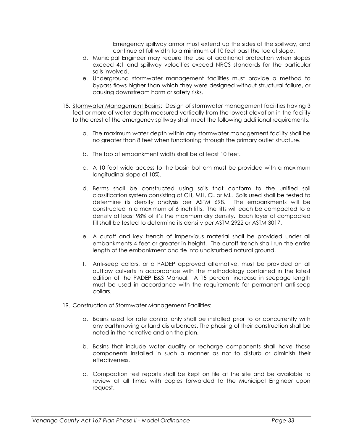Emergency spillway armor must extend up the sides of the spillway, and continue at full width to a minimum of 10 feet past the toe of slope.

- d. Municipal Engineer may require the use of additional protection when slopes exceed 4:1 and spillway velocities exceed NRCS standards for the particular soils involved.
- e. Underground stormwater management facilities must provide a method to bypass flows higher than which they were designed without structural failure, or causing downstream harm or safety risks.
- 18. Stormwater Management Basins: Design of stormwater management facilities having 3 feet or more of water depth measured vertically from the lowest elevation in the facility to the crest of the emergency spillway shall meet the following additional requirements:
	- a. The maximum water depth within any stormwater management facility shall be no greater than 8 feet when functioning through the primary outlet structure.
	- b. The top of embankment width shall be at least 10 feet.
	- c. A 10 foot wide access to the basin bottom must be provided with a maximum longitudinal slope of 10%.
	- d. Berms shall be constructed using soils that conform to the unified soil classification system consisting of CH, MH, CL or ML. Soils used shall be tested to determine its density analysis per ASTM 698. The embankments will be constructed in a maximum of 6 inch lifts. The lifts will each be compacted to a density at least 98% of it's the maximum dry density. Each layer of compacted fill shall be tested to determine its density per ASTM 2922 or ASTM 3017.
	- e. A cutoff and key trench of impervious material shall be provided under all embankments 4 feet or greater in height. The cutoff trench shall run the entire length of the embankment and tie into undisturbed natural ground.
	- f. Anti-seep collars, or a PADEP approved alternative, must be provided on all outflow culverts in accordance with the methodology contained in the latest edition of the PADEP E&S Manual. A 15 percent increase in seepage length must be used in accordance with the requirements for permanent anti-seep collars.
- 19. Construction of Stormwater Management Facilities:
	- a. Basins used for rate control only shall be installed prior to or concurrently with any earthmoving or land disturbances. The phasing of their construction shall be noted in the narrative and on the plan.
	- b. Basins that include water quality or recharge components shall have those components installed in such a manner as not to disturb or diminish their effectiveness.
	- c. Compaction test reports shall be kept on file at the site and be available to review at all times with copies forwarded to the Municipal Engineer upon request.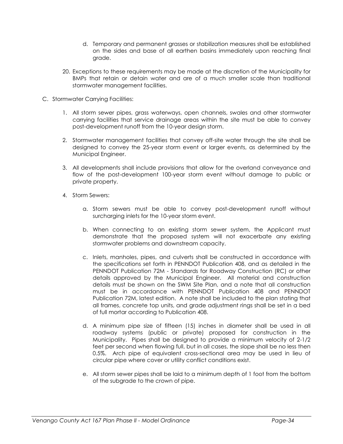- d. Temporary and permanent grasses or stabilization measures shall be established on the sides and base of all earthen basins immediately upon reaching final grade.
- 20. Exceptions to these requirements may be made at the discretion of the Municipality for BMPs that retain or detain water and are of a much smaller scale than traditional stormwater management facilities.
- C. Stormwater Carrying Facilities:
	- 1. All storm sewer pipes, grass waterways, open channels, swales and other stormwater carrying facilities that service drainage areas within the site must be able to convey post-development runoff from the 10-year design storm.
	- 2. Stormwater management facilities that convey off-site water through the site shall be designed to convey the 25-year storm event or larger events, as determined by the Municipal Engineer.
	- 3. All developments shall include provisions that allow for the overland conveyance and flow of the post-development 100-year storm event without damage to public or private property.
	- 4. Storm Sewers:
		- a. Storm sewers must be able to convey post-development runoff without surcharging inlets for the 10-year storm event.
		- b. When connecting to an existing storm sewer system, the Applicant must demonstrate that the proposed system will not exacerbate any existing stormwater problems and downstream capacity.
		- c. Inlets, manholes, pipes, and culverts shall be constructed in accordance with the specifications set forth in PENNDOT Publication 408, and as detailed in the PENNDOT Publication 72M - Standards for Roadway Construction (RC) or other details approved by the Municipal Engineer. All material and construction details must be shown on the SWM Site Plan, and a note that all construction must be in accordance with PENNDOT Publication 408 and PENNDOT Publication 72M, latest edition. A note shall be included to the plan stating that all frames, concrete top units, and grade adjustment rings shall be set in a bed of full mortar according to Publication 408.
		- d. A minimum pipe size of fifteen (15) inches in diameter shall be used in all roadway systems (public or private) proposed for construction in the Municipality. Pipes shall be designed to provide a minimum velocity of 2-1/2 feet per second when flowing full, but in all cases, the slope shall be no less then 0.5%. Arch pipe of equivalent cross-sectional area may be used in lieu of circular pipe where cover or utility conflict conditions exist.
		- e. All storm sewer pipes shall be laid to a minimum depth of 1 foot from the bottom of the subgrade to the crown of pipe.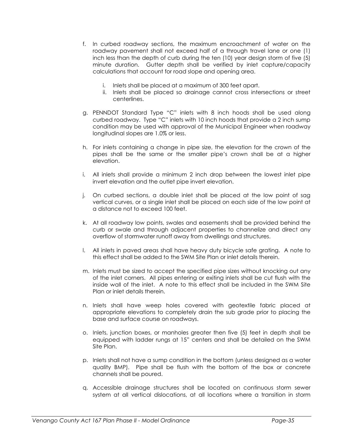- f. In curbed roadway sections, the maximum encroachment of water on the roadway pavement shall not exceed half of a through travel lane or one (1) inch less than the depth of curb during the ten (10) year design storm of five (5) minute duration. Gutter depth shall be verified by inlet capture/capacity calculations that account for road slope and opening area.
	- i. Inlets shall be placed at a maximum of 300 feet apart.
	- ii. Inlets shall be placed so drainage cannot cross intersections or street centerlines.
- g. PENNDOT Standard Type "C" inlets with 8 inch hoods shall be used along curbed roadway. Type "C" inlets with 10 inch hoods that provide a 2 inch sump condition may be used with approval of the Municipal Engineer when roadway longitudinal slopes are 1.0% or less.
- h. For inlets containing a change in pipe size, the elevation for the crown of the pipes shall be the same or the smaller pipe's crown shall be at a higher elevation.
- i. All inlets shall provide a minimum 2 inch drop between the lowest inlet pipe invert elevation and the outlet pipe invert elevation.
- j. On curbed sections, a double inlet shall be placed at the low point of sag vertical curves, or a single inlet shall be placed on each side of the low point at a distance not to exceed 100 feet.
- k. At all roadway low points, swales and easements shall be provided behind the curb or swale and through adjacent properties to channelize and direct any overflow of stormwater runoff away from dwellings and structures.
- l. All inlets in paved areas shall have heavy duty bicycle safe grating. A note to this effect shall be added to the SWM Site Plan or inlet details therein.
- m. Inlets must be sized to accept the specified pipe sizes without knocking out any of the inlet corners. All pipes entering or exiting inlets shall be cut flush with the inside wall of the inlet. A note to this effect shall be included in the SWM Site Plan or inlet details therein.
- n. Inlets shall have weep holes covered with geotextile fabric placed at appropriate elevations to completely drain the sub grade prior to placing the base and surface course on roadways.
- o. Inlets, junction boxes, or manholes greater then five (5) feet in depth shall be equipped with ladder rungs at 15" centers and shall be detailed on the SWM Site Plan.
- p. Inlets shall not have a sump condition in the bottom (unless designed as a water quality BMP). Pipe shall be flush with the bottom of the box or concrete channels shall be poured.
- q. Accessible drainage structures shall be located on continuous storm sewer system at all vertical dislocations, at all locations where a transition in storm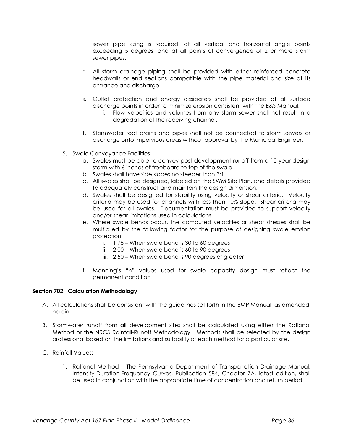sewer pipe sizing is required, at all vertical and horizontal angle points exceeding 5 degrees, and at all points of convergence of 2 or more storm sewer pipes.

- r. All storm drainage piping shall be provided with either reinforced concrete headwalls or end sections compatible with the pipe material and size at its entrance and discharge.
- s. Outlet protection and energy dissipaters shall be provided at all surface discharge points in order to minimize erosion consistent with the E&S Manual.
	- i. Flow velocities and volumes from any storm sewer shall not result in a degradation of the receiving channel.
- t. Stormwater roof drains and pipes shall not be connected to storm sewers or discharge onto impervious areas without approval by the Municipal Engineer.
- 5. Swale Conveyance Facilities:
	- a. Swales must be able to convey post-development runoff from a 10-year design storm with 6 inches of freeboard to top of the swale.
	- b. Swales shall have side slopes no steeper than 3:1.
	- c. All swales shall be designed, labeled on the SWM Site Plan, and details provided to adequately construct and maintain the design dimension.
	- d. Swales shall be designed for stability using velocity or shear criteria. Velocity criteria may be used for channels with less than 10% slope. Shear criteria may be used for all swales. Documentation must be provided to support velocity and/or shear limitations used in calculations.
	- e. Where swale bends occur, the computed velocities or shear stresses shall be multiplied by the following factor for the purpose of designing swale erosion protection:
		- i. 1.75 When swale bend is 30 to 60 degrees
		- ii. 2.00 When swale bend is 60 to 90 degrees
		- iii. 2.50 When swale bend is 90 degrees or greater
	- f. Manning's "n" values used for swale capacity design must reflect the permanent condition.

#### Section 702. Calculation Methodology

- A. All calculations shall be consistent with the guidelines set forth in the BMP Manual, as amended herein.
- B. Stormwater runoff from all development sites shall be calculated using either the Rational Method or the NRCS Rainfall-Runoff Methodology. Methods shall be selected by the design professional based on the limitations and suitability of each method for a particular site.
- C. Rainfall Values:
	- 1. Rational Method The Pennsylvania Department of Transportation Drainage Manual, Intensity-Duration-Frequency Curves, Publication 584, Chapter 7A, latest edition, shall be used in conjunction with the appropriate time of concentration and return period.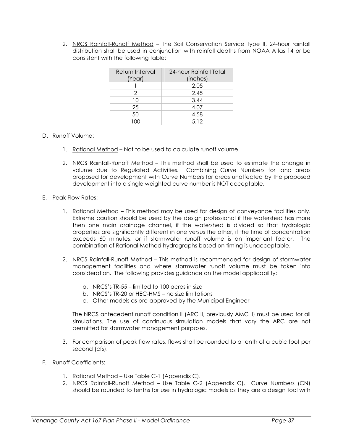2. NRCS Rainfall-Runoff Method – The Soil Conservation Service Type II, 24-hour rainfall distribution shall be used in conjunction with rainfall depths from NOAA Atlas 14 or be consistent with the following table:

| Return Interval | 24-hour Rainfall Total |
|-----------------|------------------------|
| (Year)          | (inches)               |
|                 | 2.05                   |
| 2               | 2.45                   |
| 10              | 3.44                   |
| 25              | 4.07                   |
| 50              | 4.58                   |
|                 | 5.12                   |

- D. Runoff Volume:
	- 1. Rational Method Not to be used to calculate runoff volume.
	- 2. NRCS Rainfall-Runoff Method This method shall be used to estimate the change in volume due to Regulated Activities. Combining Curve Numbers for land areas proposed for development with Curve Numbers for areas unaffected by the proposed development into a single weighted curve number is NOT acceptable.
- E. Peak Flow Rates:
	- 1. Rational Method This method may be used for design of conveyance facilities only. Extreme caution should be used by the design professional if the watershed has more then one main drainage channel, if the watershed is divided so that hydrologic properties are significantly different in one versus the other, if the time of concentration exceeds 60 minutes, or if stormwater runoff volume is an important factor. The combination of Rational Method hydrographs based on timing is unacceptable.
	- 2. NRCS Rainfall-Runoff Method This method is recommended for design of stormwater management facilities and where stormwater runoff volume must be taken into consideration. The following provides guidance on the model applicability:
		- a. NRCS's TR-55 limited to 100 acres in size
		- b. NRCS's TR-20 or HEC-HMS no size limitations
		- c. Other models as pre-approved by the Municipal Engineer

The NRCS antecedent runoff condition II (ARC II, previously AMC II) must be used for all simulations. The use of continuous simulation models that vary the ARC are not permitted for stormwater management purposes.

- 3. For comparison of peak flow rates, flows shall be rounded to a tenth of a cubic foot per second (cfs).
- F. Runoff Coefficients:
	- 1. Rational Method Use Table C-1 (Appendix C).
	- 2. NRCS Rainfall-Runoff Method Use Table C-2 (Appendix C). Curve Numbers (CN) should be rounded to tenths for use in hydrologic models as they are a design tool with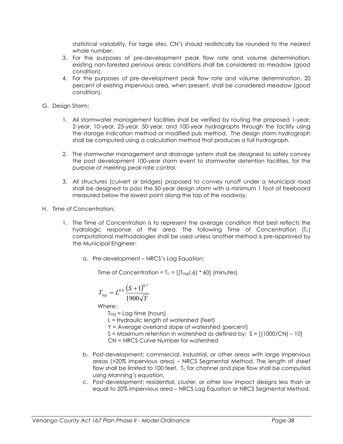statistical variability. For large sites, CN's should realistically be rounded to the nearest whole number.

- 3. For the purposes of pre-development peak flow rate and volume determination, existing non-forested pervious areas conditions shall be considered as meadow (good condition).
- 4. For the purposes of pre-development peak flow rate and volume determination, 20 percent of existing impervious area, when present, shall be considered meadow (good condition).
- G. Design Storm:
	- 1. All stormwater management facilities shall be verified by routing the proposed 1-year, 2-year, 10-year, 25-year, 50-year, and 100-year hydrographs through the facility using the storage indication method or modified puls method. The design storm hydrograph shall be computed using a calculation method that produces a full hydrograph.
	- 2. The stormwater management and drainage system shall be designed to safely convey the post development 100-year storm event to stormwater detention facilities, for the purpose of meeting peak rate control.
	- 3. All structures (culvert or bridges) proposed to convey runoff under a Municipal road shall be designed to pass the 50-year design storm with a minimum 1 foot of freeboard measured below the lowest point along the top of the roadway.
- H. Time of Concentration:
	- 1. The Time of Concentration is to represent the average condition that best reflects the hydrologic response of the area. The following Time of Concentration (Tc) computational methodologies shall be used unless another method is pre-approved by the Municipal Engineer:
		- a. Pre-development NRCS's Lag Equation:

Time of Concentration =  $T_c = [(T_{lag}/.6) * 60]$  (minutes)

$$
T_{lag} = L^{0.8} \frac{(S+1)^{0.7}}{1900\sqrt{Y}}
$$

Where:

 $T<sub>lag</sub> =$  Lag time (hours)

L = Hydraulic length of watershed (feet)

Y = Average overland slope of watershed (percent)

 $S =$  Maximum retention in watershed as defined by:  $S = [(1000/CN) - 10]$ 

CN = NRCS Curve Number for watershed

- b. Post-development; commercial, industrial, or other areas with large impervious areas (>20% impervious area) – NRCS Segmental Method. The length of sheet flow shall be limited to 100 feet. T<sub>c</sub> for channel and pipe flow shall be computed using Manning's equation.
- c. Post-development; residential, cluster, or other low impact designs less than or equal to 20% impervious area – NRCS Lag Equation or NRCS Segmental Method.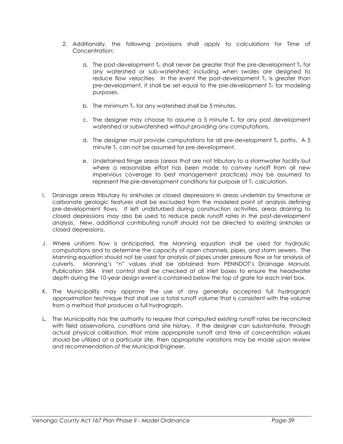- 2. Additionally, the following provisions shall apply to calculations for Time of Concentration:
	- a. The post-development  $T_c$  shall never be greater that the pre-development  $T_c$  for any watershed or sub-watershed; including when swales are designed to reduce flow velocities. In the event the post-development  $T_c$  is greater than pre-development, it shall be set equal to the pre-development  $T_c$  for modeling purposes.
	- b. The minimum  $T_c$  for any watershed shall be 5 minutes.
	- c. The designer may choose to assume a 5 minute  $T_c$  for any post development watershed or subwatershed without providing any computations.
	- d. The designer must provide computations for all pre-development  $T_c$  paths. A 5 minute  $T_c$  can not be assumed for pre-development.
	- e. Undetained fringe areas (areas that are not tributary to a stormwater facility but where a reasonable effort has been made to convey runoff from all new impervious coverage to best management practices) may be assumed to represent the pre-development conditions for purpose of T<sub>c</sub> calculation.
- I. Drainage areas tributary to sinkholes or closed depressions in areas underlain by limestone or carbonate geologic features shall be excluded from the modeled point of analysis defining pre-development flows. If left undisturbed during construction activities, areas draining to closed depressions may also be used to reduce peak runoff rates in the post-development analysis. New, additional contributing runoff should not be directed to existing sinkholes or closed depressions.
- J. Where uniform flow is anticipated, the Manning equation shall be used for hydraulic computations and to determine the capacity of open channels, pipes, and storm sewers. The Manning equation should not be used for analysis of pipes under pressure flow or for analysis of culverts. Manning's "n" values shall be obtained from PENNDOT's Drainage Manual, Publication 584. Inlet control shall be checked at all inlet boxes to ensure the headwater depth during the 10-year design event is contained below the top of grate for each inlet box.
- K. The Municipality may approve the use of any generally accepted full hydrograph approximation technique that shall use a total runoff volume that is consistent with the volume from a method that produces a full hydrograph.
- L. The Municipality has the authority to require that computed existing runoff rates be reconciled with field observations, conditions and site history. If the designer can substantiate, through actual physical calibration, that more appropriate runoff and time of concentration values should be utilized at a particular site, then appropriate variations may be made upon review and recommendation of the Municipal Engineer.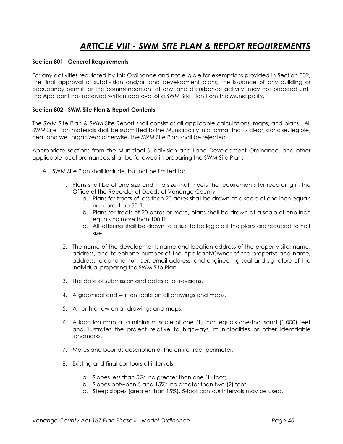### ARTICLE VIII - SWM SITE PLAN & REPORT REQUIREMENTS

#### Section 801. General Requirements

For any activities regulated by this Ordinance and not eligible for exemptions provided in Section 302, the final approval of subdivision and/or land development plans, the issuance of any building or occupancy permit, or the commencement of any land disturbance activity, may not proceed until the Applicant has received written approval of a SWM Site Plan from the Municipality.

#### Section 802. SWM Site Plan & Report Contents

The SWM Site Plan & SWM Site Report shall consist of all applicable calculations, maps, and plans. All SWM Site Plan materials shall be submitted to the Municipality in a format that is clear, concise, legible, neat and well organized; otherwise, the SWM Site Plan shall be rejected.

Appropriate sections from the Municipal Subdivision and Land Development Ordinance, and other applicable local ordinances, shall be followed in preparing the SWM Site Plan.

- A. SWM Site Plan shall include, but not be limited to:
	- 1. Plans shall be of one size and in a size that meets the requirements for recording in the Office of the Recorder of Deeds of Venango County.
		- a. Plans for tracts of less than 20 acres shall be drawn at a scale of one inch equals no more than 50 ft.;
		- b. Plans for tracts of 20 acres or more, plans shall be drawn at a scale of one inch equals no more than 100 ft;
		- c. All lettering shall be drawn to a size to be legible if the plans are reduced to half size.
	- 2. The name of the development; name and location address of the property site; name, address, and telephone number of the Applicant/Owner of the property; and name, address, telephone number, email address, and engineering seal and signature of the individual preparing the SWM Site Plan.
	- 3. The date of submission and dates of all revisions.
	- 4. A graphical and written scale on all drawings and maps.
	- 5. A north arrow on all drawings and maps.
	- 6. A location map at a minimum scale of one (1) inch equals one-thousand (1,000) feet and illustrates the project relative to highways, municipalities or other identifiable landmarks.
	- 7. Metes and bounds description of the entire tract perimeter.
	- 8. Existing and final contours at intervals:
		- a. Slopes less than 5%: no greater than one (1) foot;
		- b. Slopes between 5 and 15%: no greater than two (2) feet;
		- c. Steep slopes (greater than 15%), 5-foot contour intervals may be used.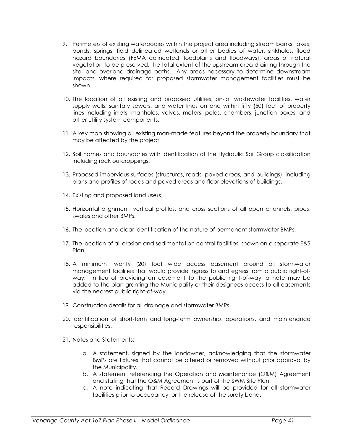- 9. Perimeters of existing waterbodies within the project area including stream banks, lakes, ponds, springs, field delineated wetlands or other bodies of water, sinkholes, flood hazard boundaries (FEMA delineated floodplains and floodways), areas of natural vegetation to be preserved, the total extent of the upstream area draining through the site, and overland drainage paths. Any areas necessary to determine downstream impacts, where required for proposed stormwater management facilities must be shown.
- 10. The location of all existing and proposed utilities, on-lot wastewater facilities, water supply wells, sanitary sewers, and water lines on and within fifty (50) feet of property lines including inlets, manholes, valves, meters, poles, chambers, junction boxes, and other utility system components.
- 11. A key map showing all existing man-made features beyond the property boundary that may be affected by the project.
- 12. Soil names and boundaries with identification of the Hydraulic Soil Group classification including rock outcroppings.
- 13. Proposed impervious surfaces (structures, roads, paved areas, and buildings), including plans and profiles of roads and paved areas and floor elevations of buildings.
- 14. Existing and proposed land use(s).
- 15. Horizontal alignment, vertical profiles, and cross sections of all open channels, pipes, swales and other BMPs.
- 16. The location and clear identification of the nature of permanent stormwater BMPs.
- 17. The location of all erosion and sedimentation control facilities, shown on a separate E&S Plan.
- 18. A minimum twenty (20) foot wide access easement around all stormwater management facilities that would provide ingress to and egress from a public right-ofway. In lieu of providing an easement to the public right-of-way, a note may be added to the plan granting the Municipality or their designees access to all easements via the nearest public right-of-way.
- 19. Construction details for all drainage and stormwater BMPs.
- 20. Identification of short-term and long-term ownership, operations, and maintenance responsibilities.
- 21. Notes and Statements:
	- a. A statement, signed by the landowner, acknowledging that the stormwater BMPs are fixtures that cannot be altered or removed without prior approval by the Municipality.
	- b. A statement referencing the Operation and Maintenance (O&M) Agreement and stating that the O&M Agreement is part of the SWM Site Plan.
	- c. A note indicating that Record Drawings will be provided for all stormwater facilities prior to occupancy, or the release of the surety bond.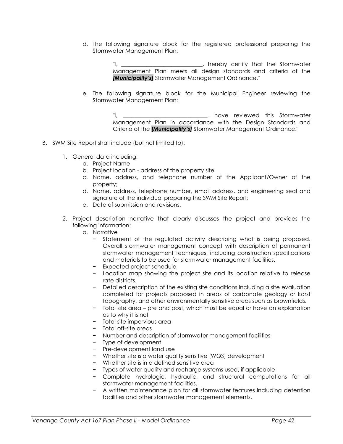d. The following signature block for the registered professional preparing the Stormwater Management Plan:

> "I, \_\_\_\_\_\_\_\_\_\_\_\_\_\_\_\_\_\_\_\_\_\_\_\_\_\_\_\_\_, hereby certify that the Stormwater Management Plan meets all design standards and criteria of the [Municipality's] Stormwater Management Ordinance."

e. The following signature block for the Municipal Engineer reviewing the Stormwater Management Plan:

> "I, \_\_\_\_\_\_\_\_\_\_\_\_\_\_\_\_\_\_\_\_\_\_\_\_\_\_\_\_\_\_, have reviewed this Stormwater Management Plan in accordance with the Design Standards and Criteria of the *[Municipality's]* Stormwater Management Ordinance."

- B. SWM Site Report shall include (but not limited to):
	- 1. General data including:
		- a. Project Name
		- b. Project location address of the property site
		- c. Name, address, and telephone number of the Applicant/Owner of the property;
		- d. Name, address, telephone number, email address, and engineering seal and signature of the individual preparing the SWM Site Report;
		- e. Date of submission and revisions.
	- 2. Project description narrative that clearly discusses the project and provides the following information:
		- a. Narrative
			- − Statement of the regulated activity describing what is being proposed. Overall stormwater management concept with description of permanent stormwater management techniques, including construction specifications and materials to be used for stormwater management facilities.
			- − Expected project schedule
			- − Location map showing the project site and its location relative to release rate districts.
			- − Detailed description of the existing site conditions including a site evaluation completed for projects proposed in areas of carbonate geology or karst topography, and other environmentally sensitive areas such as brownfields.
			- − Total site area pre and post, which must be equal or have an explanation as to why it is not
			- − Total site impervious area
			- − Total off-site areas
			- − Number and description of stormwater management facilities
			- − Type of development
			- − Pre-development land use
			- − Whether site is a water quality sensitive (WQS) development
			- − Whether site is in a defined sensitive area
			- − Types of water quality and recharge systems used, if applicable
			- − Complete hydrologic, hydraulic, and structural computations for all stormwater management facilities.
			- − A written maintenance plan for all stormwater features including detention facilities and other stormwater management elements.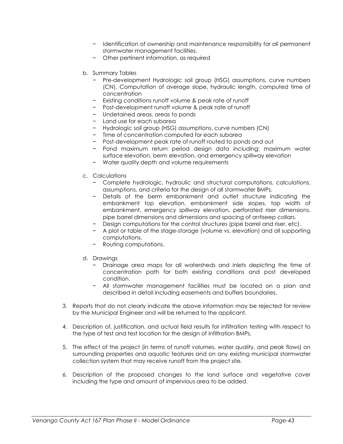- − Identification of ownership and maintenance responsibility for all permanent stormwater management facilities.
- − Other pertinent information, as required
- b. Summary Tables
	- − Pre-development Hydrologic soil group (HSG) assumptions, curve numbers (CN), Computation of average slope, hydraulic length, computed time of concentration
	- − Existing conditions runoff volume & peak rate of runoff
	- − Post-development runoff volume & peak rate of runoff
	- − Undetained areas, areas to ponds
	- − Land use for each subarea
	- − Hydrologic soil group (HSG) assumptions, curve numbers (CN)
	- − Time of concentration computed for each subarea
	- − Post-development peak rate of runoff routed to ponds and out
	- − Pond maximum return period design data including: maximum water surface elevation, berm elevation, and emergency spillway elevation
	- − Water quality depth and volume requirements
- c. Calculations
	- − Complete hydrologic, hydraulic and structural computations, calculations, assumptions, and criteria for the design of all stormwater BMPs.
	- − Details of the berm embankment and outlet structure indicating the embankment top elevation, embankment side slopes, top width of embankment, emergency spillway elevation, perforated riser dimensions, pipe barrel dimensions and dimensions and spacing of antiseep collars.
	- − Design computations for the control structures (pipe barrel and riser, etc).
	- − A plot or table of the stage-storage (volume vs. elevation) and all supporting computations.
	- − Routing computations.
- d. Drawings
	- − Drainage area maps for all watersheds and inlets depicting the time of concentration path for both existing conditions and post developed condition.
	- − All stormwater management facilities must be located on a plan and described in detail including easements and buffers boundaries.
- 3. Reports that do not clearly indicate the above information may be rejected for review by the Municipal Engineer and will be returned to the applicant.
- 4. Description of, justification, and actual field results for infiltration testing with respect to the type of test and test location for the design of infiltration BMPs.
- 5. The effect of the project (in terms of runoff volumes, water quality, and peak flows) on surrounding properties and aquatic features and on any existing municipal stormwater collection system that may receive runoff from the project site.
- 6. Description of the proposed changes to the land surface and vegetative cover including the type and amount of impervious area to be added.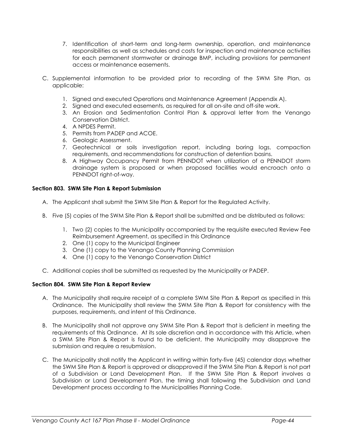- 7. Identification of short-term and long-term ownership, operation, and maintenance responsibilities as well as schedules and costs for inspection and maintenance activities for each permanent stormwater or drainage BMP, including provisions for permanent access or maintenance easements.
- C. Supplemental information to be provided prior to recording of the SWM Site Plan, as applicable:
	- 1. Signed and executed Operations and Maintenance Agreement (Appendix A).
	- 2. Signed and executed easements, as required for all on-site and off-site work.
	- 3. An Erosion and Sedimentation Control Plan & approval letter from the Venango Conservation District.
	- 4. A NPDES Permit.
	- 5. Permits from PADEP and ACOE.
	- 6. Geologic Assessment.
	- 7. Geotechnical or soils investigation report, including boring logs, compaction requirements, and recommendations for construction of detention basins.
	- 8. A Highway Occupancy Permit from PENNDOT when utilization of a PENNDOT storm drainage system is proposed or when proposed facilities would encroach onto a PENNDOT right-of-way.

#### Section 803. SWM Site Plan & Report Submission

- A. The Applicant shall submit the SWM Site Plan & Report for the Regulated Activity.
- B. Five (5) copies of the SWM Site Plan & Report shall be submitted and be distributed as follows:
	- 1. Two (2) copies to the Municipality accompanied by the requisite executed Review Fee Reimbursement Agreement, as specified in this Ordinance
	- 2. One (1) copy to the Municipal Engineer
	- 3. One (1) copy to the Venango County Planning Commission
	- 4. One (1) copy to the Venango Conservation District
- C. Additional copies shall be submitted as requested by the Municipality or PADEP.

#### Section 804. SWM Site Plan & Report Review

- A. The Municipality shall require receipt of a complete SWM Site Plan & Report as specified in this Ordinance. The Municipality shall review the SWM Site Plan & Report for consistency with the purposes, requirements, and intent of this Ordinance.
- B. The Municipality shall not approve any SWM Site Plan & Report that is deficient in meeting the requirements of this Ordinance. At its sole discretion and in accordance with this Article, when a SWM Site Plan & Report is found to be deficient, the Municipality may disapprove the submission and require a resubmission.
- C. The Municipality shall notify the Applicant in writing within forty-five (45) calendar days whether the SWM Site Plan & Report is approved or disapproved if the SWM Site Plan & Report is not part of a Subdivision or Land Development Plan. If the SWM Site Plan & Report involves a Subdivision or Land Development Plan, the timing shall following the Subdivision and Land Development process according to the Municipalities Planning Code.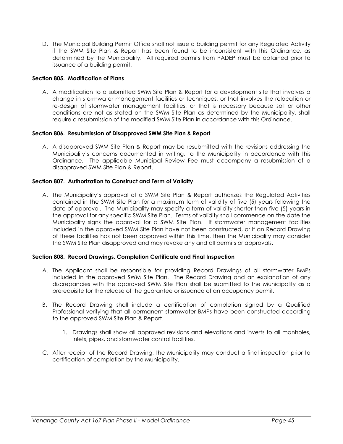D. The Municipal Building Permit Office shall not issue a building permit for any Regulated Activity if the SWM Site Plan & Report has been found to be inconsistent with this Ordinance, as determined by the Municipality. All required permits from PADEP must be obtained prior to issuance of a building permit.

#### Section 805. Modification of Plans

A. A modification to a submitted SWM Site Plan & Report for a development site that involves a change in stormwater management facilities or techniques, or that involves the relocation or re-design of stormwater management facilities, or that is necessary because soil or other conditions are not as stated on the SWM Site Plan as determined by the Municipality, shall require a resubmission of the modified SWM Site Plan in accordance with this Ordinance.

#### Section 806. Resubmission of Disapproved SWM Site Plan & Report

A. A disapproved SWM Site Plan & Report may be resubmitted with the revisions addressing the Municipality's concerns documented in writing, to the Municipality in accordance with this Ordinance. The applicable Municipal Review Fee must accompany a resubmission of a disapproved SWM Site Plan & Report.

#### Section 807. Authorization to Construct and Term of Validity

A. The Municipality's approval of a SWM Site Plan & Report authorizes the Regulated Activities contained in the SWM Site Plan for a maximum term of validity of five (5) years following the date of approval. The Municipality may specify a term of validity shorter than five (5) years in the approval for any specific SWM Site Plan. Terms of validity shall commence on the date the Municipality signs the approval for a SWM Site Plan. If stormwater management facilities included in the approved SWM Site Plan have not been constructed, or if an Record Drawing of these facilities has not been approved within this time, then the Municipality may consider the SWM Site Plan disapproved and may revoke any and all permits or approvals.

#### Section 808. Record Drawings, Completion Certificate and Final Inspection

- A. The Applicant shall be responsible for providing Record Drawings of all stormwater BMPs included in the approved SWM Site Plan. The Record Drawing and an explanation of any discrepancies with the approved SWM Site Plan shall be submitted to the Municipality as a prerequisite for the release of the guarantee or issuance of an occupancy permit.
- B. The Record Drawing shall include a certification of completion signed by a Qualified Professional verifying that all permanent stormwater BMPs have been constructed according to the approved SWM Site Plan & Report.
	- 1. Drawings shall show all approved revisions and elevations and inverts to all manholes, inlets, pipes, and stormwater control facilities.
- C. After receipt of the Record Drawing, the Municipality may conduct a final inspection prior to certification of completion by the Municipality.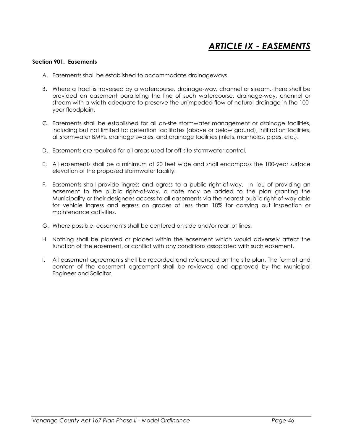# ARTICLE IX - EASEMENTS

#### Section 901. Easements

- A. Easements shall be established to accommodate drainageways.
- B. Where a tract is traversed by a watercourse, drainage-way, channel or stream, there shall be provided an easement paralleling the line of such watercourse, drainage-way, channel or stream with a width adequate to preserve the unimpeded flow of natural drainage in the 100 year floodplain.
- C. Easements shall be established for all on-site stormwater management or drainage facilities, including but not limited to: detention facilitates (above or below ground), infiltration facilities, all stormwater BMPs, drainage swales, and drainage facilities (inlets, manholes, pipes, etc.).
- D. Easements are required for all areas used for off-site stormwater control.
- E. All easements shall be a minimum of 20 feet wide and shall encompass the 100-year surface elevation of the proposed stormwater facility.
- F. Easements shall provide ingress and egress to a public right-of-way. In lieu of providing an easement to the public right-of-way, a note may be added to the plan granting the Municipality or their designees access to all easements via the nearest public right-of-way able for vehicle ingress and egress on grades of less than 10% for carrying out inspection or maintenance activities.
- G. Where possible, easements shall be centered on side and/or rear lot lines.
- H. Nothing shall be planted or placed within the easement which would adversely affect the function of the easement, or conflict with any conditions associated with such easement.
- I. All easement agreements shall be recorded and referenced on the site plan. The format and content of the easement agreement shall be reviewed and approved by the Municipal Engineer and Solicitor.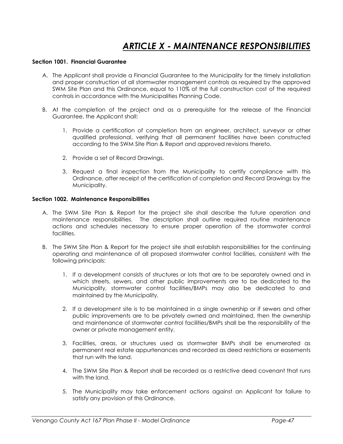## ARTICLE X - MAINTENANCE RESPONSIBILITIES

#### Section 1001. Financial Guarantee

- A. The Applicant shall provide a Financial Guarantee to the Municipality for the timely installation and proper construction of all stormwater management controls as required by the approved SWM Site Plan and this Ordinance, equal to 110% of the full construction cost of the required controls in accordance with the Municipalities Planning Code.
- B. At the completion of the project and as a prerequisite for the release of the Financial Guarantee, the Applicant shall:
	- 1. Provide a certification of completion from an engineer, architect, surveyor or other qualified professional, verifying that all permanent facilities have been constructed according to the SWM Site Plan & Report and approved revisions thereto.
	- 2. Provide a set of Record Drawings.
	- 3. Request a final inspection from the Municipality to certify compliance with this Ordinance, after receipt of the certification of completion and Record Drawings by the Municipality.

#### Section 1002. Maintenance Responsibilities

- A. The SWM Site Plan & Report for the project site shall describe the future operation and maintenance responsibilities. The description shall outline required routine maintenance actions and schedules necessary to ensure proper operation of the stormwater control facilities.
- B. The SWM Site Plan & Report for the project site shall establish responsibilities for the continuing operating and maintenance of all proposed stormwater control facilities, consistent with the following principals:
	- 1. If a development consists of structures or lots that are to be separately owned and in which streets, sewers, and other public improvements are to be dedicated to the Municipality, stormwater control facilities/BMPs may also be dedicated to and maintained by the Municipality.
	- 2. If a development site is to be maintained in a single ownership or if sewers and other public improvements are to be privately owned and maintained, then the ownership and maintenance of stormwater control facilities/BMPs shall be the responsibility of the owner or private management entity.
	- 3. Facilities, areas, or structures used as stormwater BMPs shall be enumerated as permanent real estate appurtenances and recorded as deed restrictions or easements that run with the land.
	- 4. The SWM Site Plan & Report shall be recorded as a restrictive deed covenant that runs with the land.
	- 5. The Municipality may take enforcement actions against an Applicant for failure to satisfy any provision of this Ordinance.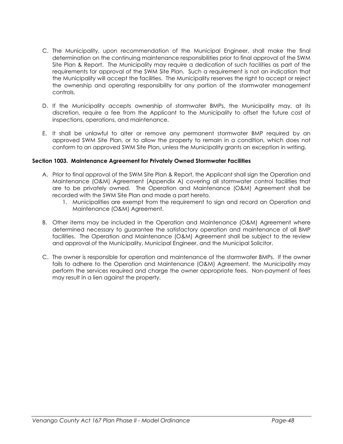- C. The Municipality, upon recommendation of the Municipal Engineer, shall make the final determination on the continuing maintenance responsibilities prior to final approval of the SWM Site Plan & Report. The Municipality may require a dedication of such facilities as part of the requirements for approval of the SWM Site Plan. Such a requirement is not an indication that the Municipality will accept the facilities. The Municipality reserves the right to accept or reject the ownership and operating responsibility for any portion of the stormwater management controls.
- D. If the Municipality accepts ownership of stormwater BMPs, the Municipality may, at its discretion, require a fee from the Applicant to the Municipality to offset the future cost of inspections, operations, and maintenance.
- E. It shall be unlawful to alter or remove any permanent stormwater BMP required by an approved SWM Site Plan, or to allow the property to remain in a condition, which does not conform to an approved SWM Site Plan, unless the Municipality grants an exception in writing.

#### Section 1003. Maintenance Agreement for Privately Owned Stormwater Facilities

- A. Prior to final approval of the SWM Site Plan & Report, the Applicant shall sign the Operation and Maintenance (O&M) Agreement (Appendix A) covering all stormwater control facilities that are to be privately owned. The Operation and Maintenance (O&M) Agreement shall be recorded with the SWM Site Plan and made a part hereto.
	- 1. Municipalities are exempt from the requirement to sign and record an Operation and Maintenance (O&M) Agreement.
- B. Other items may be included in the Operation and Maintenance (O&M) Agreement where determined necessary to guarantee the satisfactory operation and maintenance of all BMP facilities. The Operation and Maintenance (O&M) Agreement shall be subject to the review and approval of the Municipality, Municipal Engineer, and the Municipal Solicitor.
- C. The owner is responsible for operation and maintenance of the stormwater BMPs. If the owner fails to adhere to the Operation and Maintenance (O&M) Agreement, the Municipality may perform the services required and charge the owner appropriate fees. Non-payment of fees may result in a lien against the property.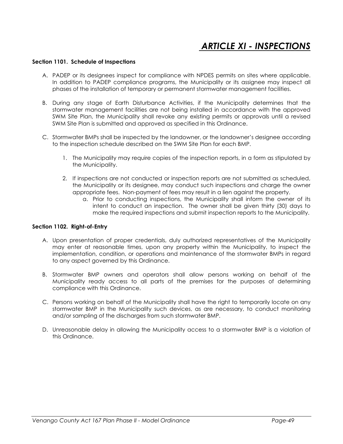## ARTICLE XI - INSPECTIONS

#### Section 1101. Schedule of Inspections

- A. PADEP or its designees inspect for compliance with NPDES permits on sites where applicable. In addition to PADEP compliance programs, the Municipality or its assignee may inspect all phases of the installation of temporary or permanent stormwater management facilities.
- B. During any stage of Earth Disturbance Activities, if the Municipality determines that the stormwater management facilities are not being installed in accordance with the approved SWM Site Plan, the Municipality shall revoke any existing permits or approvals until a revised SWM Site Plan is submitted and approved as specified in this Ordinance.
- C. Stormwater BMPs shall be inspected by the landowner, or the landowner's designee according to the inspection schedule described on the SWM Site Plan for each BMP.
	- 1. The Municipality may require copies of the inspection reports, in a form as stipulated by the Municipality.
	- 2. If inspections are not conducted or inspection reports are not submitted as scheduled, the Municipality or its designee, may conduct such inspections and charge the owner appropriate fees. Non-payment of fees may result in a lien against the property.
		- a. Prior to conducting inspections, the Municipality shall inform the owner of its intent to conduct an inspection. The owner shall be given thirty (30) days to make the required inspections and submit inspection reports to the Municipality.

#### Section 1102. Right-of-Entry

- A. Upon presentation of proper credentials, duly authorized representatives of the Municipality may enter at reasonable times, upon any property within the Municipality, to inspect the implementation, condition, or operations and maintenance of the stormwater BMPs in regard to any aspect governed by this Ordinance.
- B. Stormwater BMP owners and operators shall allow persons working on behalf of the Municipality ready access to all parts of the premises for the purposes of determining compliance with this Ordinance.
- C. Persons working on behalf of the Municipality shall have the right to temporarily locate on any stormwater BMP in the Municipality such devices, as are necessary, to conduct monitoring and/or sampling of the discharges from such stormwater BMP.
- D. Unreasonable delay in allowing the Municipality access to a stormwater BMP is a violation of this Ordinance.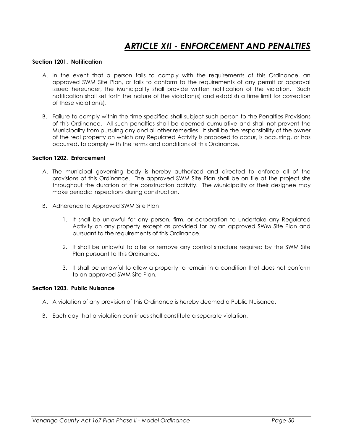### ARTICLE XII - ENFORCEMENT AND PENALTIES

#### Section 1201. Notification

- A. In the event that a person fails to comply with the requirements of this Ordinance, an approved SWM Site Plan, or fails to conform to the requirements of any permit or approval issued hereunder, the Municipality shall provide written notification of the violation. Such notification shall set forth the nature of the violation(s) and establish a time limit for correction of these violation(s).
- B. Failure to comply within the time specified shall subject such person to the Penalties Provisions of this Ordinance. All such penalties shall be deemed cumulative and shall not prevent the Municipality from pursuing any and all other remedies. It shall be the responsibility of the owner of the real property on which any Regulated Activity is proposed to occur, is occurring, or has occurred, to comply with the terms and conditions of this Ordinance.

#### Section 1202. Enforcement

- A. The municipal governing body is hereby authorized and directed to enforce all of the provisions of this Ordinance. The approved SWM Site Plan shall be on file at the project site throughout the duration of the construction activity. The Municipality or their designee may make periodic inspections during construction.
- B. Adherence to Approved SWM Site Plan
	- 1. It shall be unlawful for any person, firm, or corporation to undertake any Regulated Activity on any property except as provided for by an approved SWM Site Plan and pursuant to the requirements of this Ordinance.
	- 2. It shall be unlawful to alter or remove any control structure required by the SWM Site Plan pursuant to this Ordinance.
	- 3. It shall be unlawful to allow a property to remain in a condition that does not conform to an approved SWM Site Plan.

#### Section 1203. Public Nuisance

- A. A violation of any provision of this Ordinance is hereby deemed a Public Nuisance.
- B. Each day that a violation continues shall constitute a separate violation.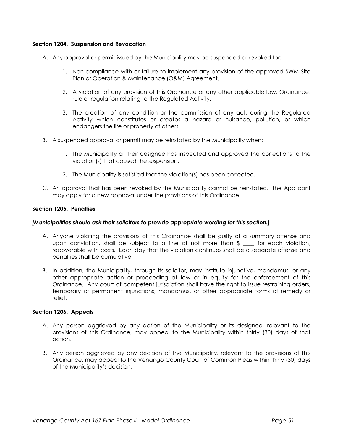#### Section 1204. Suspension and Revocation

- A. Any approval or permit issued by the Municipality may be suspended or revoked for:
	- 1. Non-compliance with or failure to implement any provision of the approved SWM Site Plan or Operation & Maintenance (O&M) Agreement.
	- 2. A violation of any provision of this Ordinance or any other applicable law, Ordinance, rule or regulation relating to the Regulated Activity.
	- 3. The creation of any condition or the commission of any act, during the Regulated Activity which constitutes or creates a hazard or nuisance, pollution, or which endangers the life or property of others.
- B. A suspended approval or permit may be reinstated by the Municipality when:
	- 1. The Municipality or their designee has inspected and approved the corrections to the violation(s) that caused the suspension.
	- 2. The Municipality is satisfied that the violation(s) has been corrected.
- C. An approval that has been revoked by the Municipality cannot be reinstated. The Applicant may apply for a new approval under the provisions of this Ordinance.

#### Section 1205. Penalties

#### [Municipalities should ask their solicitors to provide appropriate wording for this section.]

- A. Anyone violating the provisions of this Ordinance shall be guilty of a summary offense and upon conviction, shall be subject to a fine of not more than  $\frac{1}{2}$  for each violation, recoverable with costs. Each day that the violation continues shall be a separate offense and penalties shall be cumulative.
- B. In addition, the Municipality, through its solicitor, may institute injunctive, mandamus, or any other appropriate action or proceeding at law or in equity for the enforcement of this Ordinance. Any court of competent jurisdiction shall have the right to issue restraining orders, temporary or permanent injunctions, mandamus, or other appropriate forms of remedy or relief.

#### Section 1206. Appeals

- A. Any person aggrieved by any action of the Municipality or its designee, relevant to the provisions of this Ordinance, may appeal to the Municipality within thirty (30) days of that action.
- B. Any person aggrieved by any decision of the Municipality, relevant to the provisions of this Ordinance, may appeal to the Venango County Court of Common Pleas within thirty (30) days of the Municipality's decision.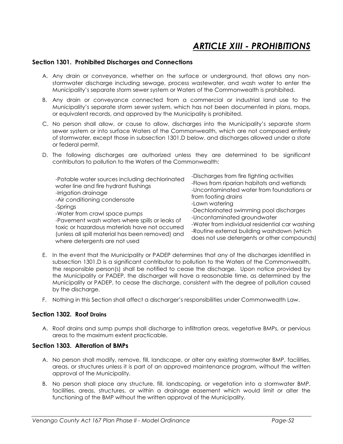## ARTICLE XIII - PROHIBITIONS

#### Section 1301. Prohibited Discharges and Connections

- A. Any drain or conveyance, whether on the surface or underground, that allows any nonstormwater discharge including sewage, process wastewater, and wash water to enter the Municipality's separate storm sewer system or Waters of the Commonwealth is prohibited.
- B. Any drain or conveyance connected from a commercial or industrial land use to the Municipality's separate storm sewer system, which has not been documented in plans, maps, or equivalent records, and approved by the Municipality is prohibited.
- C. No person shall allow, or cause to allow, discharges into the Municipality's separate storm sewer system or into surface Waters of the Commonwealth, which are not composed entirely of stormwater, except those in subsection 1301.D below, and discharges allowed under a state or federal permit.
- D. The following discharges are authorized unless they are determined to be significant contributors to pollution to the Waters of the Commonwealth:

| water line and fire hydrant flushings<br>-Uncontaminated water from foundations or<br>-Irrigation drainage<br>from footing drains<br>-Air conditioning condensate<br>-Springs<br>-Water from crawl space pumps<br>-Pavement wash waters where spills or leaks of<br>toxic or hazardous materials have not occurred<br>(unless all spill material has been removed) and<br>where detergents are not used | -Lawn watering<br>-Dechlorinated swimming pool discharges<br>-Uncontaminated groundwater<br>-Water from individual residential car washing<br>-Routine external building washdown (which<br>does not use detergents or other compounds) |
|---------------------------------------------------------------------------------------------------------------------------------------------------------------------------------------------------------------------------------------------------------------------------------------------------------------------------------------------------------------------------------------------------------|-----------------------------------------------------------------------------------------------------------------------------------------------------------------------------------------------------------------------------------------|
|---------------------------------------------------------------------------------------------------------------------------------------------------------------------------------------------------------------------------------------------------------------------------------------------------------------------------------------------------------------------------------------------------------|-----------------------------------------------------------------------------------------------------------------------------------------------------------------------------------------------------------------------------------------|

- E. In the event that the Municipality or PADEP determines that any of the discharges identified in subsection 1301.D is a significant contributor to pollution to the Waters of the Commonwealth, the responsible person(s) shall be notified to cease the discharge. Upon notice provided by the Municipality or PADEP, the discharger will have a reasonable time, as determined by the Municipality or PADEP, to cease the discharge, consistent with the degree of pollution caused by the discharge.
- F. Nothing in this Section shall affect a discharger's responsibilities under Commonwealth Law.

#### Section 1302. Roof Drains

A. Roof drains and sump pumps shall discharge to infiltration areas, vegetative BMPs, or pervious areas to the maximum extent practicable.

#### Section 1303. Alteration of BMPs

- A. No person shall modify, remove, fill, landscape, or alter any existing stormwater BMP, facilities, areas, or structures unless it is part of an approved maintenance program, without the written approval of the Municipality.
- B. No person shall place any structure, fill, landscaping, or vegetation into a stormwater BMP, facilities, areas, structures, or within a drainage easement which would limit or alter the functioning of the BMP without the written approval of the Municipality.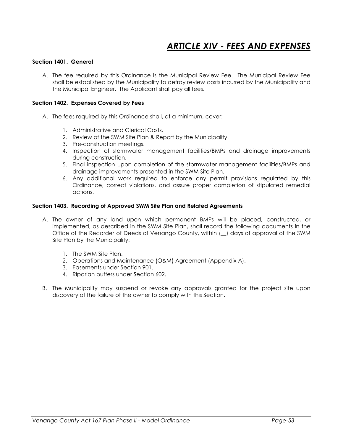# **ARTICLE XIV - FEES AND EXPENSES**

#### Section 1401. General

A. The fee required by this Ordinance is the Municipal Review Fee. The Municipal Review Fee shall be established by the Municipality to defray review costs incurred by the Municipality and the Municipal Engineer. The Applicant shall pay all fees.

#### Section 1402. Expenses Covered by Fees

- A. The fees required by this Ordinance shall, at a minimum, cover:
	- 1. Administrative and Clerical Costs.
	- 2. Review of the SWM Site Plan & Report by the Municipality.
	- 3. Pre-construction meetings.
	- 4. Inspection of stormwater management facilities/BMPs and drainage improvements during construction.
	- 5. Final inspection upon completion of the stormwater management facilities/BMPs and drainage improvements presented in the SWM Site Plan.
	- 6. Any additional work required to enforce any permit provisions regulated by this Ordinance, correct violations, and assure proper completion of stipulated remedial actions.

#### Section 1403. Recording of Approved SWM Site Plan and Related Agreements

- A. The owner of any land upon which permanent BMPs will be placed, constructed, or implemented, as described in the SWM Site Plan, shall record the following documents in the Office of the Recorder of Deeds of Venango County, within (\_\_) days of approval of the SWM Site Plan by the Municipality:
	- 1 The SWM Site Plan.
	- 2. Operations and Maintenance (O&M) Agreement (Appendix A).
	- 3. Easements under Section 901.
	- 4. Riparian buffers under Section 602.
- B. The Municipality may suspend or revoke any approvals granted for the project site upon discovery of the failure of the owner to comply with this Section.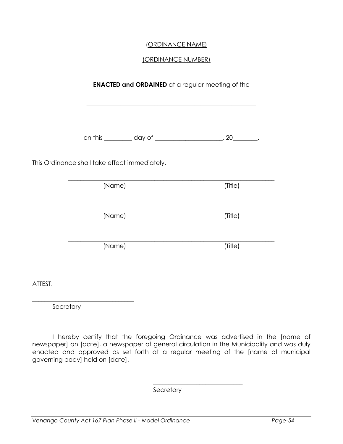### (ORDINANCE NAME)

### (ORDINANCE NUMBER)

|                                               | <b>ENACTED and ORDAINED</b> at a regular meeting of the            |
|-----------------------------------------------|--------------------------------------------------------------------|
|                                               | on this __________ day of __________________________, 20_________. |
| This Ordinance shall take effect immediately. |                                                                    |
| (Name)                                        | (Title)                                                            |
| (Name)                                        | (Title)                                                            |
| (Name)                                        | (Title)                                                            |

ATTEST:

\_\_\_\_\_\_\_\_\_\_\_\_\_\_\_\_\_\_\_\_\_\_\_\_\_\_\_\_\_\_\_\_\_ **Secretary** 

 I hereby certify that the foregoing Ordinance was advertised in the [name of newspaper] on [date], a newspaper of general circulation in the Municipality and was duly enacted and approved as set forth at a regular meeting of the [name of municipal governing body] held on [date].

**Secretary** 

 $\mathcal{L}_\text{max}$  and  $\mathcal{L}_\text{max}$  and  $\mathcal{L}_\text{max}$  and  $\mathcal{L}_\text{max}$  and  $\mathcal{L}_\text{max}$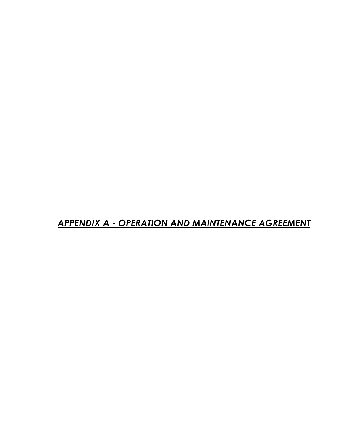## APPENDIX A - OPERATION AND MAINTENANCE AGREEMENT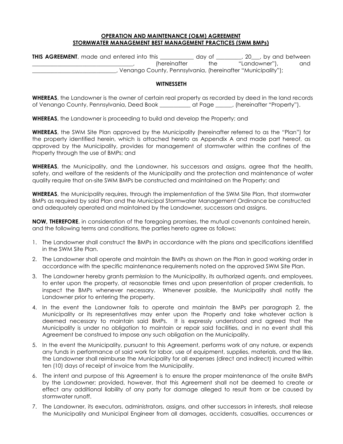#### OPERATION AND MAINTENANCE (O&M) AGREEMENT STORMWATER MANAGEMENT BEST MANAGEMENT PRACTICES (SWM BMPs)

| <b>THIS AGREEMENT</b> , made and entered into this | dav ot               |     | 20 , by and between                                         |     |
|----------------------------------------------------|----------------------|-----|-------------------------------------------------------------|-----|
|                                                    | <i>(hereinafter)</i> | the | "Landowner"),                                               | and |
|                                                    |                      |     | Venango County, Pennsylvania, (hereinafter "Municipality"); |     |

#### **WITNESSETH**

WHEREAS, the Landowner is the owner of certain real property as recorded by deed in the land records of Venango County, Pennsylvania, Deed Book \_\_\_\_\_\_\_\_\_\_\_ at Page \_\_\_\_\_\_, (hereinafter "Property").

WHEREAS, the Landowner is proceeding to build and develop the Property; and

WHEREAS, the SWM Site Plan approved by the Municipality (hereinafter referred to as the "Plan") for the property identified herein, which is attached hereto as Appendix A and made part hereof, as approved by the Municipality, provides for management of stormwater within the confines of the Property through the use of BMPs; and

WHEREAS, the Municipality, and the Landowner, his successors and assigns, agree that the health, safety, and welfare of the residents of the Municipality and the protection and maintenance of water quality require that on-site SWM BMPs be constructed and maintained on the Property; and

WHEREAS, the Municipality requires, through the implementation of the SWM Site Plan, that stormwater BMPs as required by said Plan and the Municipal Stormwater Management Ordinance be constructed and adequately operated and maintained by the Landowner, successors and assigns.

NOW, THEREFORE, in consideration of the foregoing promises, the mutual covenants contained herein, and the following terms and conditions, the parties hereto agree as follows:

- 1. The Landowner shall construct the BMPs in accordance with the plans and specifications identified in the SWM Site Plan.
- 2. The Landowner shall operate and maintain the BMPs as shown on the Plan in good working order in accordance with the specific maintenance requirements noted on the approved SWM Site Plan.
- 3. The Landowner hereby grants permission to the Municipality, its authorized agents, and employees, to enter upon the property, at reasonable times and upon presentation of proper credentials, to inspect the BMPs whenever necessary. Whenever possible, the Municipality shall notify the Landowner prior to entering the property.
- 4. In the event the Landowner fails to operate and maintain the BMPs per paragraph 2, the Municipality or its representatives may enter upon the Property and take whatever action is deemed necessary to maintain said BMPs. It is expressly understood and agreed that the Municipality is under no obligation to maintain or repair said facilities, and in no event shall this Agreement be construed to impose any such obligation on the Municipality.
- 5. In the event the Municipality, pursuant to this Agreement, performs work of any nature, or expends any funds in performance of said work for labor, use of equipment, supplies, materials, and the like, the Landowner shall reimburse the Municipality for all expenses (direct and indirect) incurred within ten (10) days of receipt of invoice from the Municipality.
- 6. The intent and purpose of this Agreement is to ensure the proper maintenance of the onsite BMPs by the Landowner; provided, however, that this Agreement shall not be deemed to create or effect any additional liability of any party for damage alleged to result from or be caused by stormwater runoff.
- 7. The Landowner, its executors, administrators, assigns, and other successors in interests, shall release the Municipality and Municipal Engineer from all damages, accidents, casualties, occurrences or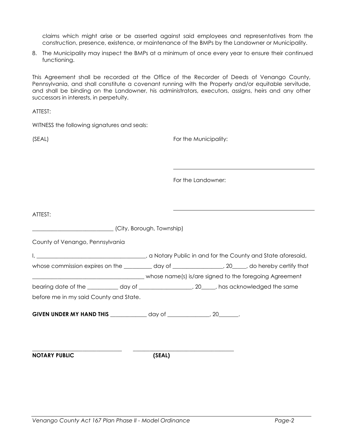claims which might arise or be asserted against said employees and representatives from the construction, presence, existence, or maintenance of the BMPs by the Landowner or Municipality.

8. The Municipality may inspect the BMPs at a minimum of once every year to ensure their continued functioning.

This Agreement shall be recorded at the Office of the Recorder of Deeds of Venango County, Pennsylvania, and shall constitute a covenant running with the Property and/or equitable servitude, and shall be binding on the Landowner, his administrators, executors, assigns, heirs and any other successors in interests, in perpetuity.

ATTEST:

WITNESS the following signatures and seals:

(SEAL) **For the Municipality:** 

For the Landowner:

ATTEST: \_\_\_\_\_\_\_\_\_\_\_\_\_\_\_\_\_\_\_\_\_\_\_\_\_\_\_\_\_ (City, Borough, Township) County of Venango, Pennsylvania I, \_\_\_\_\_\_\_\_\_\_\_\_\_\_\_\_\_\_\_\_\_\_\_\_\_\_\_\_\_\_\_\_\_\_\_\_\_\_\_, a Notary Public in and for the County and State aforesaid, whose commission expires on the \_\_\_\_\_\_\_\_ day of \_\_\_\_\_\_\_\_\_\_\_\_\_, 20\_\_\_\_, do hereby certify that \_\_\_\_\_\_\_\_\_\_\_\_\_\_\_\_\_\_\_\_\_\_\_\_\_\_\_\_\_\_\_\_\_\_\_\_\_\_\_\_ whose name(s) is/are signed to the foregoing Agreement bearing date of the \_\_\_\_\_\_\_\_\_\_\_ day of \_\_\_\_\_\_\_\_\_\_\_\_\_\_\_\_\_, 20\_\_\_\_\_, has acknowledged the same before me in my said County and State. GIVEN UNDER MY HAND THIS \_\_\_\_\_\_\_\_\_\_\_\_\_\_ day of \_\_\_\_\_\_\_\_\_\_\_\_\_, 20\_\_\_\_\_\_\_. \_\_\_\_\_\_\_\_\_\_\_\_\_\_\_\_\_\_\_\_\_\_\_\_\_\_\_\_\_\_\_\_ \_\_\_\_\_\_\_\_\_\_\_\_\_\_\_\_\_\_\_\_\_\_\_\_\_\_\_\_\_\_\_\_\_\_\_\_ NOTARY PUBLIC (SEAL)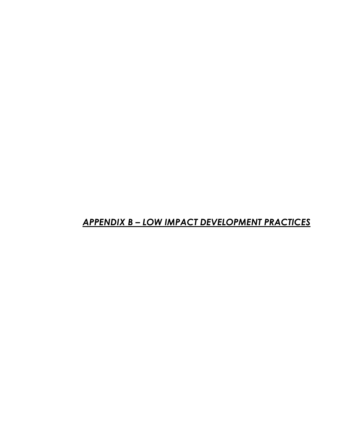# APPENDIX B – LOW IMPACT DEVELOPMENT PRACTICES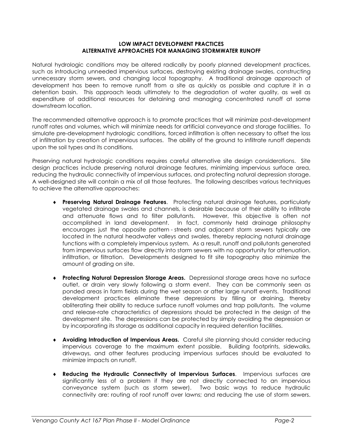#### LOW IMPACT DEVELOPMENT PRACTICES ALTERNATIVE APPROACHES FOR MANAGING STORMWATER RUNOFF

Natural hydrologic conditions may be altered radically by poorly planned development practices, such as introducing unneeded impervious surfaces, destroying existing drainage swales, constructing unnecessary storm sewers, and changing local topography. A traditional drainage approach of development has been to remove runoff from a site as quickly as possible and capture it in a detention basin. This approach leads ultimately to the degradation of water quality, as well as expenditure of additional resources for detaining and managing concentrated runoff at some downstream location.

The recommended alternative approach is to promote practices that will minimize post-development runoff rates and volumes, which will minimize needs for artificial conveyance and storage facilities. To simulate pre-development hydrologic conditions, forced infiltration is often necessary to offset the loss of infiltration by creation of impervious surfaces. The ability of the ground to infiltrate runoff depends upon the soil types and its conditions.

Preserving natural hydrologic conditions requires careful alternative site design considerations. Site design practices include preserving natural drainage features, minimizing impervious surface area, reducing the hydraulic connectivity of impervious surfaces, and protecting natural depression storage. A well-designed site will contain a mix of all those features. The following describes various techniques to achieve the alternative approaches:

- ♦ Preserving Natural Drainage Features. Protecting natural drainage features, particularly vegetated drainage swales and channels, is desirable because of their ability to infiltrate and attenuate flows and to filter pollutants. However, this objective is often not accomplished in land development. In fact, commonly held drainage philosophy encourages just the opposite pattern - streets and adjacent storm sewers typically are located in the natural headwater valleys and swales, thereby replacing natural drainage functions with a completely impervious system. As a result, runoff and pollutants generated from impervious surfaces flow directly into storm sewers with no opportunity for attenuation, infiltration, or filtration. Developments designed to fit site topography also minimize the amount of grading on site.
- ♦ Protecting Natural Depression Storage Areas. Depressional storage areas have no surface outlet, or drain very slowly following a storm event. They can be commonly seen as ponded areas in farm fields during the wet season or after large runoff events. Traditional development practices eliminate these depressions by filling or draining, thereby obliterating their ability to reduce surface runoff volumes and trap pollutants. The volume and release-rate characteristics of depressions should be protected in the design of the development site. The depressions can be protected by simply avoiding the depression or by incorporating its storage as additional capacity in required detention facilities.
- ♦ Avoiding Introduction of Impervious Areas. Careful site planning should consider reducing impervious coverage to the maximum extent possible. Building footprints, sidewalks, driveways, and other features producing impervious surfaces should be evaluated to minimize impacts on runoff.
- Reducing the Hydraulic Connectivity of Impervious Surfaces. Impervious surfaces are significantly less of a problem if they are not directly connected to an impervious conveyance system (such as storm sewer). Two basic ways to reduce hydraulic connectivity are: routing of roof runoff over lawns; and reducing the use of storm sewers.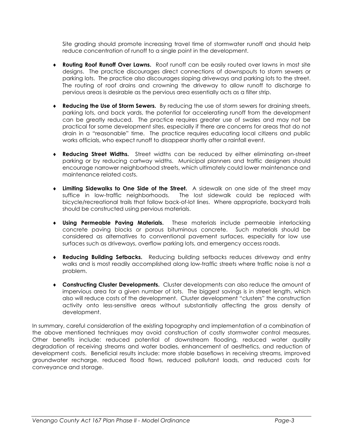Site grading should promote increasing travel time of stormwater runoff and should help reduce concentration of runoff to a single point in the development.

- ♦ Routing Roof Runoff Over Lawns. Roof runoff can be easily routed over lawns in most site designs. The practice discourages direct connections of downspouts to storm sewers or parking lots. The practice also discourages sloping driveways and parking lots to the street. The routing of roof drains and crowning the driveway to allow runoff to discharge to pervious areas is desirable as the pervious area essentially acts as a filter strip.
- ♦ Reducing the Use of Storm Sewers. By reducing the use of storm sewers for draining streets, parking lots, and back yards, the potential for accelerating runoff from the development can be greatly reduced. The practice requires greater use of swales and may not be practical for some development sites, especially if there are concerns for areas that do not drain in a "reasonable" time. The practice requires educating local citizens and public works officials, who expect runoff to disappear shortly after a rainfall event.
- **Reducing Street Widths.** Street widths can be reduced by either eliminating on-street parking or by reducing cartway widths. Municipal planners and traffic designers should encourage narrower neighborhood streets, which ultimately could lower maintenance and maintenance related costs.
- ♦ Limiting Sidewalks to One Side of the Street. A sidewalk on one side of the street may suffice in low-traffic neighborhoods. The lost sidewalk could be replaced with bicycle/recreational trails that follow back-of-lot lines. Where appropriate, backyard trails should be constructed using pervious materials.
- Using Permeable Paving Materials. These materials include permeable interlocking concrete paving blocks or porous bituminous concrete. Such materials should be considered as alternatives to conventional pavement surfaces, especially for low use surfaces such as driveways, overflow parking lots, and emergency access roads.
- ♦ Reducing Building Setbacks. Reducing building setbacks reduces driveway and entry walks and is most readily accomplished along low-traffic streets where traffic noise is not a problem.
- ♦ Constructing Cluster Developments. Cluster developments can also reduce the amount of impervious area for a given number of lots. The biggest savings is in street length, which also will reduce costs of the development. Cluster development "clusters" the construction activity onto less-sensitive areas without substantially affecting the gross density of development.

In summary, careful consideration of the existing topography and implementation of a combination of the above mentioned techniques may avoid construction of costly stormwater control measures. Other benefits include: reduced potential of downstream flooding, reduced water quality degradation of receiving streams and water bodies, enhancement of aesthetics, and reduction of development costs. Beneficial results include: more stable baseflows in receiving streams, improved groundwater recharge, reduced flood flows, reduced pollutant loads, and reduced costs for conveyance and storage.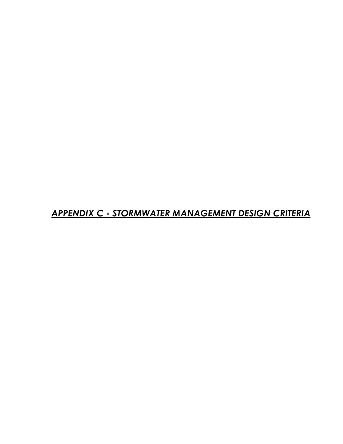APPENDIX C - STORMWATER MANAGEMENT DESIGN CRITERIA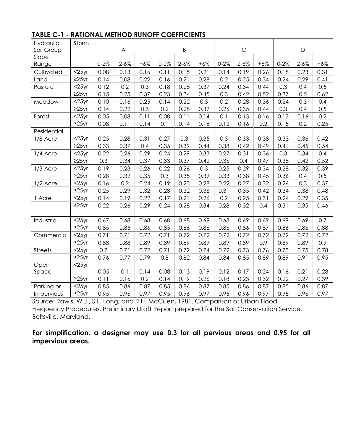| Hydraulic<br>Soil Group | Storm       |          | A         |       |          | Β         |       |           | $\mathsf{C}$ |       |          | $\mathsf{D}$ |       |
|-------------------------|-------------|----------|-----------|-------|----------|-----------|-------|-----------|--------------|-------|----------|--------------|-------|
| Slope                   |             |          |           |       |          |           |       |           |              |       |          |              |       |
| Range                   |             | $0 - 2%$ | $2 - 6\%$ | $+6%$ | $0 - 2%$ | $2 - 6\%$ | $+6%$ | $0 - 2\%$ | $2 - 6\%$    | $+6%$ | $0 - 2%$ | $2 - 6\%$    | $+6%$ |
| Cultivated              | $<$ 25yr    | 0.08     | 0.13      | 0.16  | 0.11     | 0.15      | 0.21  | 0.14      | 0.19         | 0.26  | 0.18     | 0.23         | 0.31  |
| Land                    | $\geq$ 25yr | 0.14     | 0.08      | 0.22  | 0.16     | 0.21      | 0.28  | 0.2       | 0.25         | 0.34  | 0.24     | 0.29         | 0.41  |
| Pasture                 | $<$ 25yr    | 0.12     | 0.2       | 0.3   | 0.18     | 0.28      | 0.37  | 0.24      | 0.34         | 0.44  | 0.3      | 0.4          | 0.5   |
|                         | $\geq$ 25yr | 0.15     | 0.25      | 0.37  | 0.23     | 0.34      | 0.45  | 0.3       | 0.42         | 0.52  | 0.37     | 0.5          | 0.62  |
| Meadow                  | $<$ 25yr    | 0.10     | 0.16      | 0.25  | 0.14     | 0.22      | 0.3   | 0.2       | 0.28         | 0.36  | 0.24     | 0.3          | 0.4   |
|                         | $\geq$ 25yr | 0.14     | 0.22      | 0.3   | 0.2      | 0.28      | 0.37  | 0.26      | 0.35         | 0.44  | 0.3      | 0.4          | 0.5   |
| Forest                  | $<$ 25yr    | 0.05     | 0.08      | 0.11  | 0.08     | 0.11      | 0.14  | 0.1       | 0.13         | 0.16  | 0.12     | 0.16         | 0.2   |
|                         | $\geq$ 25yr | 0.08     | 0.11      | 0.14  | 0.1      | 0.14      | 0.18  | 0.12      | 0.16         | 0.2   | 0.15     | 0.2          | 0.25  |
| Residential             |             |          |           |       |          |           |       |           |              |       |          |              |       |
| 1/8 Acre                | $<$ 25yr    | 0.25     | 0.28      | 0.31  | 0.27     | 0.3       | 0.35  | 0.3       | 0.33         | 0.38  | 0.33     | 0.36         | 0.42  |
|                         | $\geq$ 25yr | 0.33     | 0.37      | 0.4   | 0.35     | 0.39      | 0.44  | 0.38      | 0.42         | 0.49  | 0.41     | 0.45         | 0.54  |
| 1/4 Acre                | $<$ 25yr    | 0.22     | 0.26      | 0.29  | 0.24     | 0.29      | 0.33  | 0.27      | 0.31         | 0.36  | 0.3      | 0.34         | 0.4   |
|                         | $\geq$ 25yr | 0.3      | 0.34      | 0.37  | 0.33     | 0.37      | 0.42  | 0.36      | 0.4          | 0.47  | 0.38     | 0.42         | 0.52  |
| 1/3 Acre                | $<$ 25yr    | 0.19     | 0.23      | 0.26  | 0.22     | 0.26      | 0.3   | 0.25      | 0.29         | 0.34  | 0.28     | 0.32         | 0.39  |
|                         | $\geq$ 25yr | 0.28     | 0.32      | 0.35  | 0.3      | 0.35      | 0.39  | 0.33      | 0.38         | 0.45  | 0.36     | 0.4          | 0.5   |
| 1/2 Acre                | $<$ 25yr    | 0.16     | 0.2       | 0.24  | 0.19     | 0.23      | 0.28  | 0.22      | 0.27         | 0.32  | 0.26     | 0.3          | 0.37  |
|                         | $\geq$ 25yr | 0.25     | 0.29      | 0.32  | 0.28     | 0.32      | 0.36  | 0.31      | 0.35         | 0.42  | 0.34     | 0.38         | 0.48  |
| 1 Acre                  | $<$ 25yr    | 0.14     | 0.19      | 0.22  | 0.17     | 0.21      | 0.26  | 0.2       | 0.25         | 0.31  | 0.24     | 0.29         | 0.35  |
|                         | $\geq$ 25yr | 0.22     | 0.26      | 0.29  | 0.24     | 0.28      | 0.34  | 0.28      | 0.32         | 0.4   | 0.31     | 0.35         | 0.46  |
|                         |             |          |           |       |          |           |       |           |              |       |          |              |       |
| Industrial              | $<$ 25yr    | 0.67     | 0.68      | 0.68  | 0.68     | 0.68      | 0.69  | 0.68      | 0.69         | 0.69  | 0.69     | 0.69         | 0.7   |
|                         | $\geq$ 25yr | 0.85     | 0.85      | 0.86  | 0.85     | 0.86      | 0.86  | 0.86      | 0.86         | 0.87  | 0.86     | 0.86         | 0.88  |
| Commercial              | $<$ 25yr    | 0.71     | 0.71      | 0.72  | 0.71     | 0.72      | 0.72  | 0.72      | 0.72         | 0.72  | 0.72     | 0.72         | 0.72  |
|                         | $\geq$ 25yr | 0.88     | 0.88      | 0.89  | 0.89     | 0.89      | 0.89  | 0.89      | 0.89         | 0.9   | 0.89     | 0.89         | 0.9   |
| <b>Streets</b>          | $<$ 25yr    | 0.7      | 0.71      | 0.72  | 0.71     | 0.72      | 0.74  | 0.72      | 0.73         | 0.76  | 0.73     | 0.75         | 0.78  |
|                         | $\geq$ 25yr | 0.76     | 0.77      | 0.79  | 0.8      | 0.82      | 0.84  | 0.84      | 0.85         | 0.89  | 0.89     | 0.91         | 0.95  |
| Open                    | $<$ 25yr    |          |           |       |          |           |       |           |              |       |          |              |       |
| Space                   |             | 0.05     | 0.1       | 0.14  | 0.08     | 0.13      | 0.19  | 0.12      | 0.17         | 0.24  | 0.16     | 0.21         | 0.28  |
|                         | $\geq$ 25yr | 0.11     | 0.16      | 0.2   | 0.14     | 0.19      | 0.26  | 0.18      | 0.23         | 0.32  | 0.22     | 0.27         | 0.39  |
| Parking or              | $<$ 25yr    | 0.85     | 0.86      | 0.87  | 0.85     | 0.86      | 0.87  | 0.85      | 0.86         | 0.87  | 0.85     | 0.86         | 0.87  |
| Impervious              | $\geq$ 25yr | 0.95     | 0.96      | 0.97  | 0.95     | 0.96      | 0.97  | 0.95      | 0.96         | 0.97  | 0.95     | 0.96         | 0.97  |

### TABLE C-1 - RATIONAL METHOD RUNOFF COEFFICIENTS

Source: Rawls, W.J., S.L. Long, and R.H. McCuen, 1981. Comparison of Urban Flood Frequency Procedures. Preliminary Draft Report prepared for the Soil Conservation Service, Beltsville, Maryland.

For simplification, a designer may use 0.3 for all pervious areas and 0.95 for all impervious areas.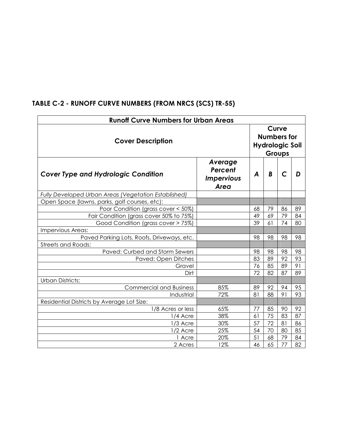| <b>Runoff Curve Numbers for Urban Areas</b>          |                                                 |    |                                                                 |    |    |  |
|------------------------------------------------------|-------------------------------------------------|----|-----------------------------------------------------------------|----|----|--|
| <b>Cover Description</b>                             |                                                 |    | Curve<br><b>Numbers for</b><br><b>Hydrologic Soil</b><br>Groups |    |    |  |
| <b>Cover Type and Hydrologic Condition</b>           | Average<br>Percent<br><b>Impervious</b><br>Area | A  | B                                                               | C  |    |  |
| Fully Developed Urban Areas (Vegetation Established) |                                                 |    |                                                                 |    |    |  |
| Open Space (lawns, parks, golf courses, etc):        |                                                 |    |                                                                 |    |    |  |
| Poor Condition (grass cover < 50%)                   |                                                 | 68 | 79                                                              | 86 | 89 |  |
| Fair Condition (grass cover 50% to 75%)              |                                                 | 49 | 69                                                              | 79 | 84 |  |
| Good Condition (grass cover > 75%)                   |                                                 | 39 | 61                                                              | 74 | 80 |  |
| Impervious Areas:                                    |                                                 |    |                                                                 |    |    |  |
| Paved Parking Lots, Roofs, Driveways, etc.           |                                                 | 98 | 98                                                              | 98 | 98 |  |
| <b>Streets and Roads:</b>                            |                                                 |    |                                                                 |    |    |  |
| Paved: Curbed and Storm Sewers                       |                                                 | 98 | 98                                                              | 98 | 98 |  |
| Paved: Open Ditches                                  |                                                 | 83 | 89                                                              | 92 | 93 |  |
| Gravel                                               |                                                 | 76 | 85                                                              | 89 | 91 |  |
| Dirt                                                 |                                                 | 72 | 82                                                              | 87 | 89 |  |
| <b>Urban Districts:</b>                              |                                                 |    |                                                                 |    |    |  |
| <b>Commercial and Business</b>                       | 85%                                             | 89 | 92                                                              | 94 | 95 |  |
| Industrial                                           | 72%                                             | 81 | 88                                                              | 91 | 93 |  |
| Residential Districts by Average Lot Size:           |                                                 |    |                                                                 |    |    |  |
| 1/8 Acres or less                                    | 65%                                             | 77 | 85                                                              | 90 | 92 |  |
| 1/4 Acre                                             | 38%                                             | 61 | 75                                                              | 83 | 87 |  |
| 1/3 Acre                                             | 30%                                             | 57 | 72                                                              | 81 | 86 |  |
| 1/2 Acre                                             | 25%                                             | 54 | 70                                                              | 80 | 85 |  |
| 1 Acre                                               | 20%                                             | 51 | 68                                                              | 79 | 84 |  |
| 2 Acres                                              | 12%                                             | 46 | 65                                                              | 77 | 82 |  |

### TABLE C-2 - RUNOFF CURVE NUMBERS (FROM NRCS (SCS) TR-55)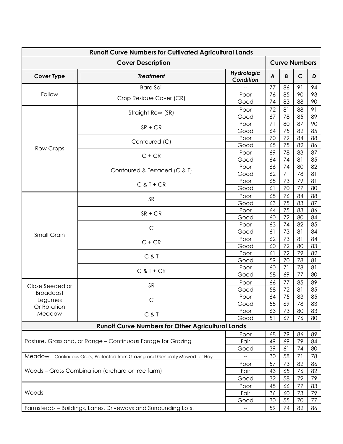| <b>Runoff Curve Numbers for Cultivated Agricultural Lands</b>  |                                                                               |                         |          |          |              |          |
|----------------------------------------------------------------|-------------------------------------------------------------------------------|-------------------------|----------|----------|--------------|----------|
| <b>Cover Description</b><br><b>Curve Numbers</b>               |                                                                               |                         |          |          |              |          |
| <b>Cover Type</b>                                              | <b>Treatment</b>                                                              | Hydrologic<br>Condition | A        | B        | $\mathsf{C}$ | D        |
|                                                                | <b>Bare Soil</b>                                                              |                         | 77       | 86       | 91           | 94       |
| Fallow                                                         | Crop Residue Cover (CR)                                                       | Poor                    | 76       | 85       | 90           | 93       |
|                                                                |                                                                               | Good                    | 74       | 83       | 88           | 90       |
|                                                                | Straight Row (SR)                                                             | Poor                    | 72       | 81       | 88           | 91       |
|                                                                |                                                                               | Good                    | 67       | 78       | 85           | 89       |
|                                                                | $SR + CR$                                                                     | Poor                    | 71       | 80       | 87           | 90       |
|                                                                |                                                                               | Good                    | 64       | 75       | 82           | 85       |
|                                                                | Contoured (C)                                                                 | Poor                    | 70       | 79       | 84           | 88       |
| <b>Row Crops</b>                                               |                                                                               | Good                    | 65       | 75       | 82           | 86       |
|                                                                | $C + CR$                                                                      | Poor                    | 69       | 78       | 83           | 87       |
|                                                                |                                                                               | Good                    | 64       | 74       | 81           | 85       |
|                                                                | Contoured & Terraced (C & T)                                                  | Poor                    | 66       | 74       | 80           | 82       |
|                                                                |                                                                               | Good                    | 62       | 71       | 78           | 81       |
|                                                                | $C & T + CR$                                                                  | Poor                    | 65       | 73       | 79           | 81       |
|                                                                |                                                                               | Good                    | 61       | 70       | 77           | 80       |
|                                                                | <b>SR</b>                                                                     | Poor                    | 65       | 76       | 84           | 88       |
| <b>Small Grain</b>                                             |                                                                               | Good                    | 63       | 75       | 83           | 87       |
|                                                                | $SR + CR$                                                                     | Poor                    | 64       | 75       | 83           | 86       |
|                                                                |                                                                               | Good                    | 60       | 72       | 80           | 84       |
|                                                                | $\mathsf C$                                                                   | Poor                    | 63       | 74       | 82           | 85       |
|                                                                |                                                                               | Good                    | 61       | 73       | 81           | 84       |
|                                                                | $C + CR$                                                                      | Poor                    | 62       | 73       | 81           | 84       |
|                                                                |                                                                               | Good                    | 60       | 72       | 80           | 83       |
|                                                                | C & T                                                                         | Poor                    | 61       | 72       | 79           | 82       |
|                                                                |                                                                               | Good                    | 59       | 70       | 78           | 81       |
|                                                                | $C & T + CR$                                                                  | Poor                    | 60       | 71       | 78           | 81       |
|                                                                |                                                                               | Good                    | 58       | 69       | 77           | 80       |
| Close Seeded or                                                | <b>SR</b>                                                                     | Poor                    | 66       | 77       | 85           | 89       |
| <b>Broadcast</b>                                               |                                                                               | Good                    | 58       | 72<br>75 | 81           | 85       |
| Legumes                                                        |                                                                               | Poor                    | 64<br>55 |          | 83<br>78     | 85       |
| Or Rotation                                                    |                                                                               | Good<br>Poor            | 63       | 69<br>73 | 80           | 83<br>83 |
| Meadow                                                         | C&T                                                                           | Good                    | 51       | 67       | 76           | 80       |
|                                                                | <b>Runoff Curve Numbers for Other Agricultural Lands</b>                      |                         |          |          |              |          |
|                                                                |                                                                               |                         |          |          |              |          |
|                                                                |                                                                               | Poor<br>Fair            | 68<br>49 | 79<br>69 | 86<br>79     | 89<br>84 |
| Pasture, Grassland, or Range - Continuous Forage for Grazing   |                                                                               |                         | 39       | 61       | 74           | 80       |
|                                                                | Good                                                                          |                         |          |          |              |          |
|                                                                | Meadow - Continuous Grass, Protected from Grazing and Generally Mowed for Hay |                         | 30       | 58       | 71           | 78       |
| Woods - Grass Combination (orchard or tree farm)               | Poor                                                                          | 57                      | 73       | 82       | 86           |          |
|                                                                | Fair                                                                          | 43                      | 65       | 76       | 82           |          |
|                                                                |                                                                               | Good                    | 32       | 58       | 72           | 79       |
| Woods                                                          |                                                                               | Poor                    | 45       | 66       | 77           | 83       |
|                                                                |                                                                               | Fair                    | 36       | 60       | 73           | 79<br>77 |
|                                                                | Good                                                                          | 30                      | 55       | 70       |              |          |
| Farmsteads - Buildings, Lanes, Driveways and Surrounding Lots. | $\qquad \qquad -$                                                             | 59                      | 74       | 82       | 86           |          |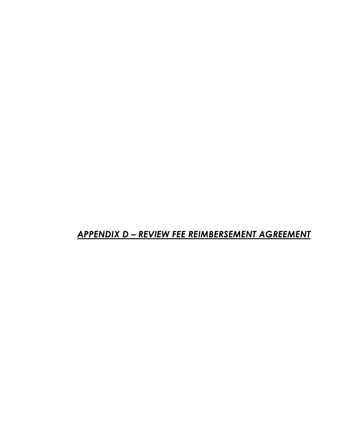# APPENDIX D – REVIEW FEE REIMBERSEMENT AGREEMENT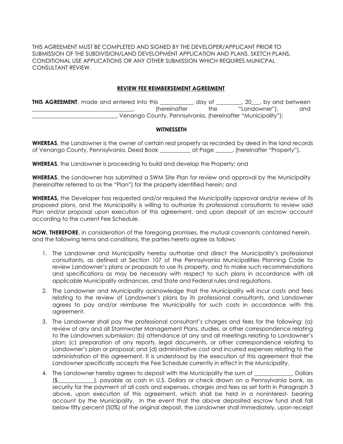THIS AGREEMENT MUST BE COMPLETED AND SIGNED BY THE DEVELOPER/APPLICANT PRIOR TO SUBMISSION OF THE SUBDIVISION/LAND DEVELOPMENT APPLICATION AND PLANS, SKETCH PLANS, CONDITIONAL USE APPLICATIONS OR ANY OTHER SUBMISSION WHICH REQUIRES MUNICPAL CONSULTANT REVIEW.

#### REVIEW FEE REIMBERSEMENT AGREEMENT

THIS AGREEMENT, made and entered into this \_\_\_\_\_\_\_\_\_\_\_\_ day of \_\_\_\_\_\_\_, 20\_\_, by and between (hereinafter the "Landowner"), and \_\_\_\_\_\_\_\_\_\_\_\_\_\_\_\_\_\_\_\_\_\_\_\_\_\_\_\_\_\_, Venango County, Pennsylvania, (hereinafter "Municipality");

#### **WITNESSETH**

WHEREAS, the Landowner is the owner of certain real property as recorded by deed in the land records of Venango County, Pennsylvania, Deed Book \_\_\_\_\_\_\_\_\_\_\_ at Page \_\_\_\_\_\_, (hereinafter "Property").

WHEREAS, the Landowner is proceeding to build and develop the Property; and

**WHEREAS**, the Landowner has submitted a SWM Site Plan for review and approval by the Municipality (hereinafter referred to as the "Plan") for the property identified herein; and

WHEREAS, the Developer has requested and/or required the Municipality approval and/or review of its proposed plans, and the Municipality is willing to authorize its professional consultants to review said Plan and/or proposal upon execution of this agreement, and upon deposit of an escrow account according to the current Fee Schedule.

NOW, THEREFORE, in consideration of the foregoing promises, the mutual covenants contained herein, and the following terms and conditions, the parties hereto agree as follows:

- 1. The Landowner and Municipality hereby authorize and direct the Municipality's professional consultants, as defined at Section 107 of the Pennsylvania Municipalities Planning Code to review Landowner's plans or proposals to use its property, and to make such recommendations and specifications as may be necessary with respect to such plans in accordance with all applicable Municipality ordinances, and State and Federal rules and regulations.
- 2. The Landowner and Municipality acknowledge that the Municipality will incur costs and fees relating to the review of Landowner's plans by its professional consultants, and Landowner agrees to pay and/or reimburse the Municipality for such costs in accordance with this agreement.
- 3. The Landowner shall pay the professional consultant's charges and fees for the following: (a) review of any and all Stormwater Management Plans, studies, or other correspondence relating to the Landowners submission; (b) attendance at any and all meetings relating to Landowner's plan; (c) preparation of any reports, legal documents, or other correspondence relating to Landowner's plan or proposal; and (d) administrative cost and incurred expenses relating to the administration of this agreement. It is understood by the execution of this agreement that the Landowner specifically accepts the Fee Schedule currently in effect in the Municipality.
- 4. The Landowner hereby agrees to deposit with the Municipality the sum of \_\_\_\_\_\_\_\_\_\_\_\_\_\_ Dollars (\$\_\_\_\_\_\_\_\_\_\_\_\_\_), payable as cash in U.S. Dollars or check drawn on a Pennsylvania bank, as security for the payment of all costs and expenses, charges and fees as set forth in Paragraph 3 above, upon execution of this agreement, which shall be held in a noninterest- bearing account by the Municipality. In the event that the above deposited escrow fund shall fall below fifty percent (50%) of the original deposit, the Landowner shall immediately, upon receipt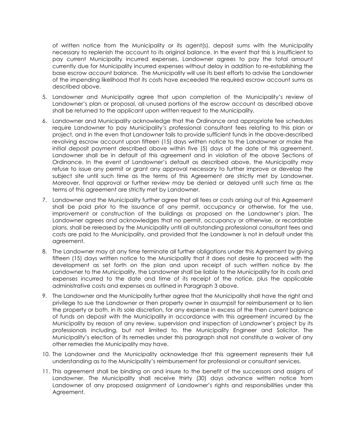of written notice from the Municipality or its agent(s), deposit sums with the Municipality necessary to replenish the account to its original balance. In the event that this is insufficient to pay current Municipality incurred expenses, Landowner agrees to pay the total amount currently due for Municipality incurred expenses without delay in addition to re-establishing the base escrow account balance. The Municipality will use its best efforts to advise the Landowner of the impending likelihood that its costs have exceeded the required escrow account sums as described above.

- 5. Landowner and Municipality agree that upon completion of the Municipality's review of Landowner's plan or proposal, all unused portions of the escrow account as described above shall be returned to the applicant upon written request to the Municipality.
- 6. Landowner and Municipality acknowledge that the Ordinance and appropriate fee schedules require Landowner to pay Municipality's professional consultant fees relating to this plan or project, and in the even that Landowner fails to provide sufficient funds in the above-described revolving escrow account upon fifteen (15) days written notice to the Landowner or make the initial deposit payment described above within five (5) days of the date of this agreement, Landowner shall be in default of this agreement and in violation of the above Sections of Ordinance. In the event of Landowner's default as described above, the Municipality may refuse to issue any permit or grant any approval necessary to further improve or develop the subject site until such time as the terms of this Agreement are strictly met by Landowner. Moreover, final approval or further review may be denied or delayed until such time as the terms of this agreement are strictly met by Landowner.
- 7. Landowner and the Municipality further agree that all fees or costs arising out of this Agreement shall be paid prior to the issuance of any permit, occupancy or otherwise, for the use, improvement or construction of the buildings as proposed on the Landowner's plan. The Landowner agrees and acknowledges that no permit, occupancy or otherwise, or recordable plans, shall be released by the Municipality until all outstanding professional consultant fees and costs are paid to the Municipality, and provided that the Landowner is not in default under this agreement.
- 8. The Landowner may at any time terminate all further obligations under this Agreement by giving fifteen (15) days written notice to the Municipality that it does not desire to proceed with the development as set forth on the plan and upon receipt of such written notice by the Landowner to the Municipality, the Landowner shall be liable to the Municipality for its costs and expenses incurred to the date and time of its receipt of the notice, plus the applicable administrative costs and expenses as outlined in Paragraph 3 above.
- 9. The Landowner and the Municipality further agree that the Municipality shall have the right and privilege to sue the Landowner or then property owner in assumpsit for reimbursement or to lien the property or both, in its sole discretion, for any expense in excess of the then current balance of funds on deposit with the Municipality in accordance with this agreement incurred by the Municipality by reason of any review, supervision and inspection of Landowner's project by its professionals including, but not limited to, the Municipality Engineer and Solicitor. The Municipality's election of its remedies under this paragraph shall not constitute a waiver of any other remedies the Municipality may have.
- 10. The Landowner and the Municipality acknowledge that this agreement represents their full understanding as to the Municipality's reimbursement for professional or consultant services.
- 11. This agreement shall be binding on and insure to the benefit of the successors and assigns of Landowner. The Municipality shall receive thirty (30) days advance written notice from Landowner of any proposed assignment of Landowner's rights and responsibilities under this Agreement.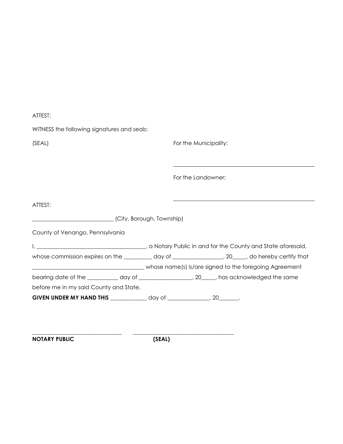| ATTEST:                                                                        |                                                                                                  |
|--------------------------------------------------------------------------------|--------------------------------------------------------------------------------------------------|
| WITNESS the following signatures and seals:                                    |                                                                                                  |
| (SEAL)                                                                         | For the Municipality:                                                                            |
|                                                                                |                                                                                                  |
|                                                                                | For the Landowner:                                                                               |
| ATTEST:                                                                        |                                                                                                  |
| (City, Borough, Township)                                                      |                                                                                                  |
| County of Venango, Pennsylvania                                                |                                                                                                  |
|                                                                                |                                                                                                  |
|                                                                                | whose commission expires on the _________ day of _______________, 20____, do hereby certify that |
|                                                                                | bearing date of the ___________ day of ___________________, 20_____, has acknowledged the same   |
| before me in my said County and State.                                         |                                                                                                  |
| GIVEN UNDER MY HAND THIS _______________ day of _________________, 20________. |                                                                                                  |
|                                                                                |                                                                                                  |

NOTARY PUBLIC (SEAL)

\_\_\_\_\_\_\_\_\_\_\_\_\_\_\_\_\_\_\_\_\_\_\_\_\_\_\_\_\_\_\_\_ \_\_\_\_\_\_\_\_\_\_\_\_\_\_\_\_\_\_\_\_\_\_\_\_\_\_\_\_\_\_\_\_\_\_\_\_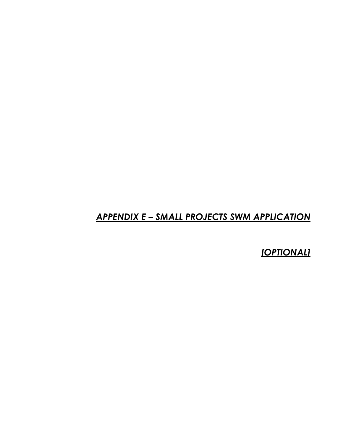## APPENDIX E – SMALL PROJECTS SWM APPLICATION

**[OPTIONAL]**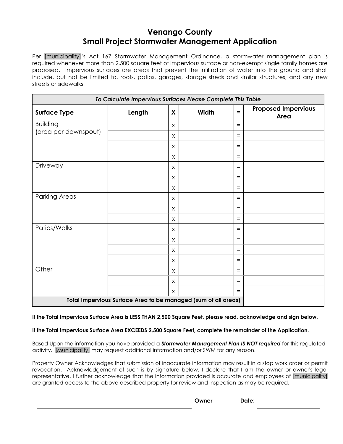# Venango County Small Project Stormwater Management Application

Per [municipality]'s Act 167 Stormwater Management Ordinance, a stormwater management plan is required whenever more than 2,500 square feet of impervious surface or non-exempt single family homes are proposed. Impervious surfaces are areas that prevent the infiltration of water into the ground and shall include, but not be limited to, roofs, patios, garages, storage sheds and similar structures, and any new streets or sidewalks.

| To Calculate Impervious Surfaces Please Complete This Table           |        |              |       |     |                                    |  |  |
|-----------------------------------------------------------------------|--------|--------------|-------|-----|------------------------------------|--|--|
| <b>Surface Type</b>                                                   | Length | X            | Width | $=$ | <b>Proposed Impervious</b><br>Area |  |  |
| <b>Building</b>                                                       |        | X            |       | $=$ |                                    |  |  |
| (area per downspout)                                                  |        | $\mathsf{X}$ |       | $=$ |                                    |  |  |
|                                                                       |        | X            |       | $=$ |                                    |  |  |
|                                                                       |        | X            |       | $=$ |                                    |  |  |
| Driveway                                                              |        | $\times$     |       | $=$ |                                    |  |  |
|                                                                       |        | X            |       | $=$ |                                    |  |  |
|                                                                       |        | X            |       | $=$ |                                    |  |  |
| Parking Areas                                                         |        | $\mathsf{X}$ |       | $=$ |                                    |  |  |
|                                                                       |        | X            |       | $=$ |                                    |  |  |
|                                                                       |        | $\mathsf{X}$ |       | $=$ |                                    |  |  |
| Patios/Walks                                                          |        | $\mathsf{X}$ |       | $=$ |                                    |  |  |
|                                                                       |        | X            |       | $=$ |                                    |  |  |
|                                                                       |        | X            |       | $=$ |                                    |  |  |
|                                                                       |        | $\times$     |       | $=$ |                                    |  |  |
| Other                                                                 |        | X            |       | $=$ |                                    |  |  |
|                                                                       |        | X            |       | $=$ |                                    |  |  |
|                                                                       |        | $\mathsf{X}$ |       | $=$ |                                    |  |  |
| <b>Total Impervious Surface Area to be managed (sum of all areas)</b> |        |              |       |     |                                    |  |  |

#### If the Total Impervious Surface Area is LESS THAN 2,500 Square Feet, please read, acknowledge and sign below.

#### If the Total Impervious Surface Area EXCEEDS 2,500 Square Feet, complete the remainder of the Application.

Based Upon the information you have provided a **Stormwater Management Plan IS NOT required** for this regulated activity. [Municipality] may request additional information and/or SWM for any reason.

Property Owner Acknowledges that submission of inaccurate information may result in a stop work order or permit revocation. Acknowledgement of such is by signature below. I declare that I am the owner or owner's legal representative. I further acknowledge that the information provided is accurate and employees of [municipality] are granted access to the above described property for review and inspection as may be required.

Owner Date: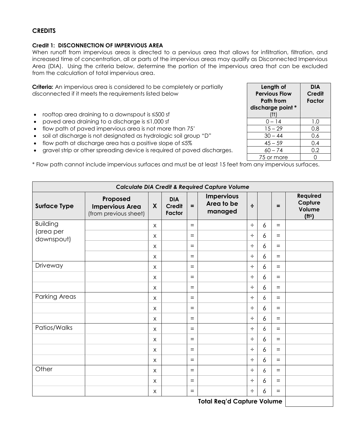## **CREDITS**

#### Credit 1: DISCONNECTION OF IMPERVIOUS AREA

When runoff from impervious areas is directed to a pervious area that allows for infiltration, filtration, and increased time of concentration, all or parts of the impervious areas may qualify as Disconnected Impervious Area (DIA). Using the criteria below, determine the portion of the impervious area that can be excluded from the calculation of total impervious area.

| graver simpler entrer spieleuring device is required ar pavea discribiges. |                                                                                                           |                           |                                       |     |                                                           |        | $00 - 74$        |                |  | U.Z                                                        |
|----------------------------------------------------------------------------|-----------------------------------------------------------------------------------------------------------|---------------------------|---------------------------------------|-----|-----------------------------------------------------------|--------|------------------|----------------|--|------------------------------------------------------------|
|                                                                            |                                                                                                           |                           |                                       |     |                                                           |        | 75 or more       | $\overline{0}$ |  |                                                            |
|                                                                            | * Flow path cannot include impervious surfaces and must be at least 15 feet from any impervious surfaces. |                           |                                       |     |                                                           |        |                  |                |  |                                                            |
|                                                                            |                                                                                                           |                           |                                       |     | <b>Calculate DIA Credit &amp; Required Capture Volume</b> |        |                  |                |  |                                                            |
| <b>Surface Type</b>                                                        | Proposed<br><b>Impervious Area</b><br>(from previous sheet)                                               | X                         | <b>DIA</b><br><b>Credit</b><br>Factor | $=$ | <b>Impervious</b><br>Area to be<br>managed                | ÷      |                  | Ξ              |  | <b>Required</b><br>Capture<br>Volume<br>(f1 <sup>3</sup> ) |
| <b>Building</b><br>(area per<br>downspout)                                 |                                                                                                           | X                         |                                       | $=$ |                                                           | $\div$ | 6                | $=$            |  |                                                            |
|                                                                            |                                                                                                           | X                         |                                       | $=$ |                                                           | $\div$ | 6                | $=$            |  |                                                            |
|                                                                            |                                                                                                           | X                         |                                       | $=$ |                                                           | $\div$ | $\overline{6}$   | $=$            |  |                                                            |
|                                                                            |                                                                                                           | $\mathsf{X}$              |                                       | $=$ |                                                           | $\div$ | $\delta$         | $=$            |  |                                                            |
| Driveway                                                                   |                                                                                                           | $\times$                  |                                       | $=$ |                                                           | ÷      | $\overline{6}$   | $=$            |  |                                                            |
|                                                                            |                                                                                                           | $\times$                  |                                       | $=$ |                                                           | $\div$ | $\overline{6}$   | $=$            |  |                                                            |
|                                                                            |                                                                                                           | $\times$                  |                                       | $=$ |                                                           | ÷      | $\overline{6}$   | $=$            |  |                                                            |
| <b>Parking Areas</b>                                                       |                                                                                                           | $\times$                  |                                       | $=$ |                                                           | $\div$ | $\boldsymbol{6}$ | $=$            |  |                                                            |
|                                                                            |                                                                                                           | $\times$                  |                                       | $=$ |                                                           | $\div$ | 6                | $=$            |  |                                                            |
|                                                                            |                                                                                                           | $\boldsymbol{\mathsf{X}}$ |                                       | $=$ |                                                           | ÷      | 6                | $=$            |  |                                                            |
| Patios/Walks                                                               |                                                                                                           | $\boldsymbol{\mathsf{X}}$ |                                       | $=$ |                                                           | $\div$ | $\boldsymbol{6}$ | $=$            |  |                                                            |
|                                                                            |                                                                                                           | X                         |                                       | $=$ |                                                           | ÷      | 6                | $=$            |  |                                                            |
|                                                                            |                                                                                                           | $\times$                  |                                       | $=$ |                                                           | ÷      | 6                | $=$            |  |                                                            |
|                                                                            |                                                                                                           | X                         |                                       | $=$ |                                                           | $\div$ | 6                | $=$            |  |                                                            |
| Other                                                                      |                                                                                                           | X                         |                                       | $=$ |                                                           | ÷      | $\boldsymbol{6}$ | $=$            |  |                                                            |
|                                                                            |                                                                                                           | X                         |                                       | $=$ |                                                           | ÷      | 6                | $=$            |  |                                                            |
|                                                                            |                                                                                                           | X                         |                                       | $=$ |                                                           | $\div$ | 6                | $=$            |  |                                                            |
|                                                                            |                                                                                                           |                           |                                       |     |                                                           |        |                  |                |  |                                                            |

Total Req'd Capture Volume

| Length of<br><b>Pervious Flow</b><br>Path from<br>discharge point *<br>(ft) | <b>DIA</b><br>Credit<br>Factor |
|-----------------------------------------------------------------------------|--------------------------------|
| 0 – 14                                                                      | 1.0                            |
| $15 - 29$                                                                   | 0.8                            |
| $30 - 44$                                                                   | 0.6                            |
| $45 - 59$                                                                   | 0.4                            |
| $60 - 74$                                                                   | 0.2                            |
| 75 or more                                                                  |                                |

**Criteria:** An impervious area is considered to be completely or partially disconnected if it meets the requirements listed below

- rooftop area draining to a downspout is ≤500 sf
- paved area draining to a discharge is ≤1,000 sf
- flow path of paved impervious area is not more than 75'
- soil at discharge is not designated as hydrologic soil group "D"
- flow path at discharge area has a positive slope of  $\leq 5\%$
- gravel strip or other spreading device is required at paved discharges. 60 74 0.2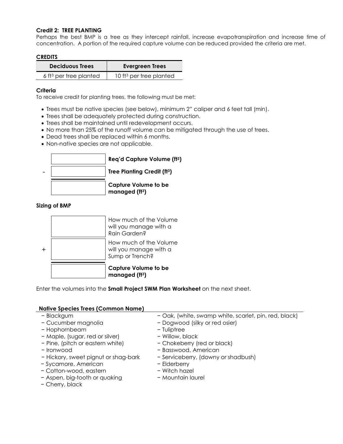#### Credit 2: TREE PLANTING

Perhaps the best BMP is a tree as they intercept rainfall, increase evapotranspiration and increase time of concentration. A portion of the required capture volume can be reduced provided the criteria are met.

#### **CREDITS**

| <b>Deciduous Trees</b>             | <b>Evergreen Trees</b>              |  |  |  |  |
|------------------------------------|-------------------------------------|--|--|--|--|
| 6 ft <sup>3</sup> per tree planted | 10 ft <sup>3</sup> per tree planted |  |  |  |  |

#### **Criteria**

To receive credit for planting trees, the following must be met:

- Trees must be native species (see below), minimum 2" caliper and 6 feet tall (min).
- Trees shall be adequately protected during construction.
- Trees shall be maintained until redevelopment occurs.
- No more than 25% of the runoff volume can be mitigated through the use of trees.
- Dead trees shall be replaced within 6 months.
- Non-native species are not applicable.



#### Sizing of BMP



Enter the volumes into the **Small Project SWM Plan Worksheet** on the next sheet.

#### Native Species Trees (Common Name)

- 
- 
- − Hophornbeam − Tuliptree
- − Maple, (sugar, red or silver) − Willow, black
- − Pine, (pitch or eastern white) − Chokeberry (red or black)
- 
- − Hickory, sweet pignut or shag-bark − Serviceberry, (downy or shadbush)
- − Sycamore, American − Elderberry
- − Cotton-wood, eastern − Witch hazel
- − Aspen, big-tooth or quaking − Mountain laurel
- − Cherry, black
- − Blackgum − Oak, (white, swamp white, scarlet, pin, red, black)
- − Cucumber magnolia − Dogwood (silky or red osier)
	-
	-
	-
- − Ironwood − Basswood, American
	-
	-
	-
	-